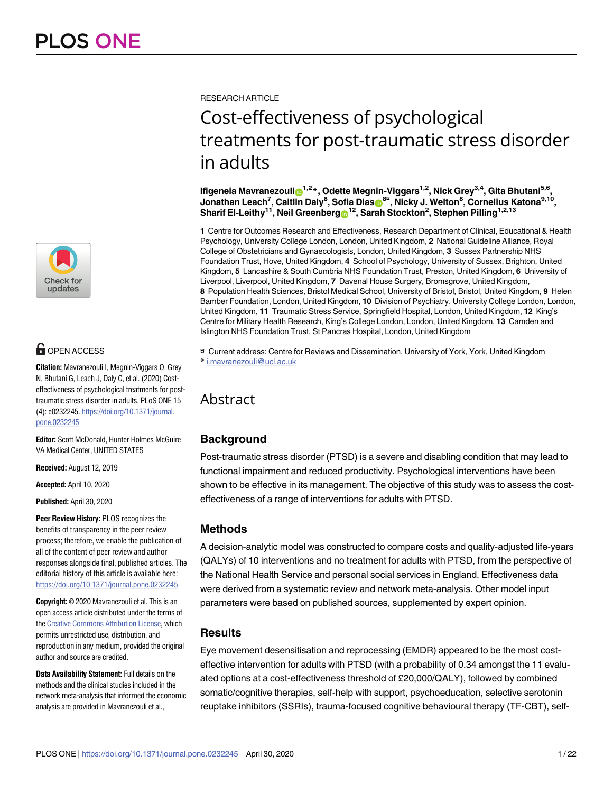

## **OPEN ACCESS**

**Citation:** Mavranezouli I, Megnin-Viggars O, Grey N, Bhutani G, Leach J, Daly C, et al. (2020) Costeffectiveness of psychological treatments for posttraumatic stress disorder in adults. PLoS ONE 15 (4): e0232245. [https://doi.org/10.1371/journal.](https://doi.org/10.1371/journal.pone.0232245) [pone.0232245](https://doi.org/10.1371/journal.pone.0232245)

**Editor:** Scott McDonald, Hunter Holmes McGuire VA Medical Center, UNITED STATES

**Received:** August 12, 2019

**Accepted:** April 10, 2020

**Published:** April 30, 2020

**Peer Review History:** PLOS recognizes the benefits of transparency in the peer review process; therefore, we enable the publication of all of the content of peer review and author responses alongside final, published articles. The editorial history of this article is available here: <https://doi.org/10.1371/journal.pone.0232245>

**Copyright:** © 2020 Mavranezouli et al. This is an open access article distributed under the terms of the Creative [Commons](http://creativecommons.org/licenses/by/4.0/) Attribution License, which permits unrestricted use, distribution, and reproduction in any medium, provided the original author and source are credited.

**Data Availability Statement:** Full details on the methods and the clinical studies included in the network meta-analysis that informed the economic analysis are provided in Mavranezouli et al.,

RESEARCH ARTICLE

# Cost-effectiveness of psychological treatments for post-traumatic stress disorder in adults

**Ifigeneia** Mavranezoulin  $1.2*$ , Odette Megnin-Viggars<sup>1,2</sup>, Nick Grey<sup>3,4</sup>, Gita Bhutani<sup>5,6</sup>, **Jonathan Leach7 , Caitlin Daly8 , Sofia Dia[sID](http://orcid.org/0000-0002-2172-0221)8¤ , Nicky J. Welton8 , Cornelius Katona9,10,**  $\boldsymbol{\delta}$ Sharif El-Leithy<sup>11</sup>, Neil Greenberg $\boldsymbol{\Theta}^{12}$ , Sarah Stockton<sup>2</sup>, Stephen Pilling<sup>1,2,13</sup>

**1** Centre for Outcomes Research and Effectiveness, Research Department of Clinical, Educational & Health Psychology, University College London, London, United Kingdom, **2** National Guideline Alliance, Royal College of Obstetricians and Gynaecologists, London, United Kingdom, **3** Sussex Partnership NHS Foundation Trust, Hove, United Kingdom, **4** School of Psychology, University of Sussex, Brighton, United Kingdom, **5** Lancashire & South Cumbria NHS Foundation Trust, Preston, United Kingdom, **6** University of Liverpool, Liverpool, United Kingdom, **7** Davenal House Surgery, Bromsgrove, United Kingdom, **8** Population Health Sciences, Bristol Medical School, University of Bristol, Bristol, United Kingdom, **9** Helen Bamber Foundation, London, United Kingdom, **10** Division of Psychiatry, University College London, London, United Kingdom, **11** Traumatic Stress Service, Springfield Hospital, London, United Kingdom, **12** King's Centre for Military Health Research, King's College London, London, United Kingdom, **13** Camden and Islington NHS Foundation Trust, St Pancras Hospital, London, United Kingdom

¤ Current address: Centre for Reviews and Dissemination, University of York, York, United Kingdom \* i.mavranezouli@ucl.ac.uk

## Abstract

## **Background**

Post-traumatic stress disorder (PTSD) is a severe and disabling condition that may lead to functional impairment and reduced productivity. Psychological interventions have been shown to be effective in its management. The objective of this study was to assess the costeffectiveness of a range of interventions for adults with PTSD.

## **Methods**

A decision-analytic model was constructed to compare costs and quality-adjusted life-years (QALYs) of 10 interventions and no treatment for adults with PTSD, from the perspective of the National Health Service and personal social services in England. Effectiveness data were derived from a systematic review and network meta-analysis. Other model input parameters were based on published sources, supplemented by expert opinion.

## **Results**

Eye movement desensitisation and reprocessing (EMDR) appeared to be the most costeffective intervention for adults with PTSD (with a probability of 0.34 amongst the 11 evaluated options at a cost-effectiveness threshold of £20,000/QALY), followed by combined somatic/cognitive therapies, self-help with support, psychoeducation, selective serotonin reuptake inhibitors (SSRIs), trauma-focused cognitive behavioural therapy (TF-CBT), self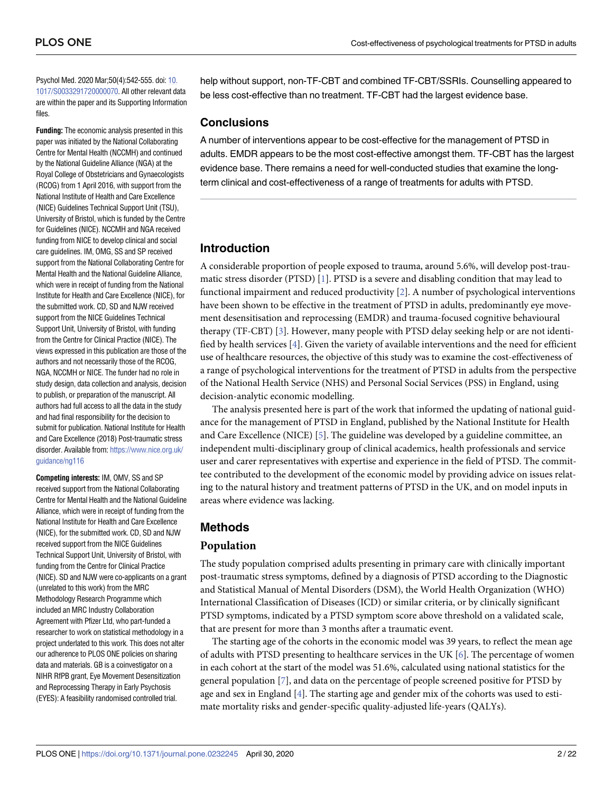<span id="page-1-0"></span>Psychol Med. 2020 Mar;50(4):542-555. doi: [10.](https://doi.org/10.1017/S0033291720000070) [1017/S0033291720000070.](https://doi.org/10.1017/S0033291720000070) All other relevant data are within the paper and its Supporting Information files.

**Funding:** The economic analysis presented in this paper was initiated by the National Collaborating Centre for Mental Health (NCCMH) and continued by the National Guideline Alliance (NGA) at the Royal College of Obstetricians and Gynaecologists (RCOG) from 1 April 2016, with support from the National Institute of Health and Care Excellence (NICE) Guidelines Technical Support Unit (TSU), University of Bristol, which is funded by the Centre for Guidelines (NICE). NCCMH and NGA received funding from NICE to develop clinical and social care guidelines. IM, OMG, SS and SP received support from the National Collaborating Centre for Mental Health and the National Guideline Alliance, which were in receipt of funding from the National Institute for Health and Care Excellence (NICE), for the submitted work. CD, SD and NJW received support from the NICE Guidelines Technical Support Unit, University of Bristol, with funding from the Centre for Clinical Practice (NICE). The views expressed in this publication are those of the authors and not necessarily those of the RCOG, NGA, NCCMH or NICE. The funder had no role in study design, data collection and analysis, decision to publish, or preparation of the manuscript. All authors had full access to all the data in the study and had final responsibility for the decision to submit for publication. National Institute for Health and Care Excellence (2018) Post-traumatic stress disorder. Available from: [https://www.nice.org.uk/](https://www.nice.org.uk/guidance/ng116) [guidance/ng116](https://www.nice.org.uk/guidance/ng116)

**Competing interests:** IM, OMV, SS and SP received support from the National Collaborating Centre for Mental Health and the National Guideline Alliance, which were in receipt of funding from the National Institute for Health and Care Excellence (NICE), for the submitted work. CD, SD and NJW received support from the NICE Guidelines Technical Support Unit, University of Bristol, with funding from the Centre for Clinical Practice (NICE). SD and NJW were co-applicants on a grant (unrelated to this work) from the MRC Methodology Research Programme which included an MRC Industry Collaboration Agreement with Pfizer Ltd, who part-funded a researcher to work on statistical methodology in a project underlated to this work. This does not alter our adherence to PLOS ONE policies on sharing data and materials. GB is a coinvestigator on a NIHR RfPB grant, Eye Movement Desensitization and Reprocessing Therapy in Early Psychosis (EYES): A feasibility randomised controlled trial.

help without support, non-TF-CBT and combined TF-CBT/SSRIs. Counselling appeared to be less cost-effective than no treatment. TF-CBT had the largest evidence base.

## **Conclusions**

A number of interventions appear to be cost-effective for the management of PTSD in adults. EMDR appears to be the most cost-effective amongst them. TF-CBT has the largest evidence base. There remains a need for well-conducted studies that examine the longterm clinical and cost-effectiveness of a range of treatments for adults with PTSD.

## **Introduction**

A considerable proportion of people exposed to trauma, around 5.6%, will develop post-traumatic stress disorder (PTSD) [[1](#page-19-0)]. PTSD is a severe and disabling condition that may lead to functional impairment and reduced productivity [\[2](#page-19-0)]. A number of psychological interventions have been shown to be effective in the treatment of PTSD in adults, predominantly eye movement desensitisation and reprocessing (EMDR) and trauma-focused cognitive behavioural therapy (TF-CBT) [\[3](#page-19-0)]. However, many people with PTSD delay seeking help or are not identified by health services [\[4\]](#page-19-0). Given the variety of available interventions and the need for efficient use of healthcare resources, the objective of this study was to examine the cost-effectiveness of a range of psychological interventions for the treatment of PTSD in adults from the perspective of the National Health Service (NHS) and Personal Social Services (PSS) in England, using decision-analytic economic modelling.

The analysis presented here is part of the work that informed the updating of national guidance for the management of PTSD in England, published by the National Institute for Health and Care Excellence (NICE) [\[5\]](#page-19-0). The guideline was developed by a guideline committee, an independent multi-disciplinary group of clinical academics, health professionals and service user and carer representatives with expertise and experience in the field of PTSD. The committee contributed to the development of the economic model by providing advice on issues relating to the natural history and treatment patterns of PTSD in the UK, and on model inputs in areas where evidence was lacking.

## **Methods**

## **Population**

The study population comprised adults presenting in primary care with clinically important post-traumatic stress symptoms, defined by a diagnosis of PTSD according to the Diagnostic and Statistical Manual of Mental Disorders (DSM), the World Health Organization (WHO) International Classification of Diseases (ICD) or similar criteria, or by clinically significant PTSD symptoms, indicated by a PTSD symptom score above threshold on a validated scale, that are present for more than 3 months after a traumatic event.

The starting age of the cohorts in the economic model was 39 years, to reflect the mean age of adults with PTSD presenting to healthcare services in the UK [\[6\]](#page-19-0). The percentage of women in each cohort at the start of the model was 51.6%, calculated using national statistics for the general population [[7](#page-19-0)], and data on the percentage of people screened positive for PTSD by age and sex in England [[4\]](#page-19-0). The starting age and gender mix of the cohorts was used to estimate mortality risks and gender-specific quality-adjusted life-years (QALYs).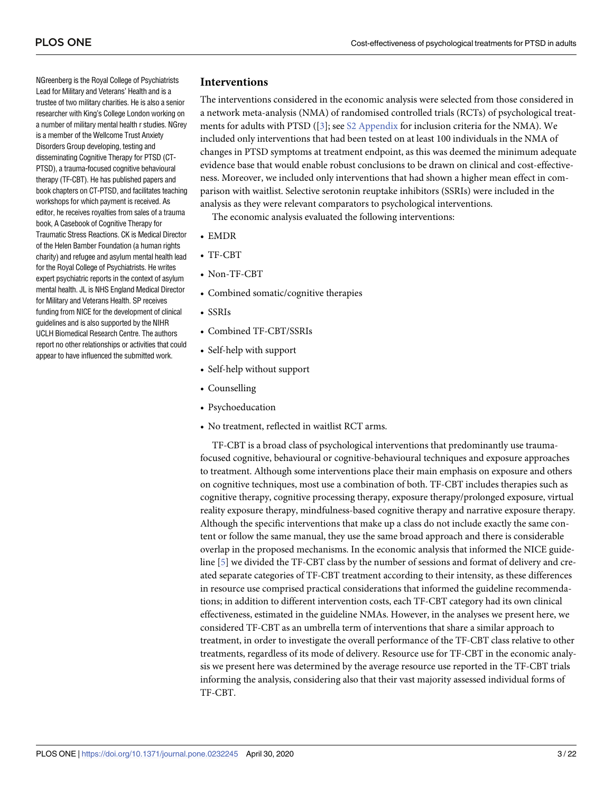NGreenberg is the Royal College of Psychiatrists Lead for Military and Veterans' Health and is a trustee of two military charities. He is also a senior researcher with King's College London working on a number of military mental health r studies. NGrey is a member of the Wellcome Trust Anxiety Disorders Group developing, testing and disseminating Cognitive Therapy for PTSD (CT-PTSD), a trauma-focused cognitive behavioural therapy (TF-CBT). He has published papers and book chapters on CT-PTSD, and facilitates teaching workshops for which payment is received. As editor, he receives royalties from sales of a trauma book, A Casebook of Cognitive Therapy for Traumatic Stress Reactions. CK is Medical Director of the Helen Bamber Foundation (a human rights charity) and refugee and asylum mental health lead for the Royal College of Psychiatrists. He writes expert psychiatric reports in the context of asylum mental health. JL is NHS England Medical Director for Military and Veterans Health. SP receives funding from NICE for the development of clinical guidelines and is also supported by the NIHR UCLH Biomedical Research Centre. The authors report no other relationships or activities that could appear to have influenced the submitted work.

## **Interventions**

The interventions considered in the economic analysis were selected from those considered in a network meta-analysis (NMA) of randomised controlled trials (RCTs) of psychological treatments for adults with PTSD  $(3]$  $(3]$  $(3]$ ; see S2 [Appendix](#page-18-0) for inclusion criteria for the NMA). We included only interventions that had been tested on at least 100 individuals in the NMA of changes in PTSD symptoms at treatment endpoint, as this was deemed the minimum adequate evidence base that would enable robust conclusions to be drawn on clinical and cost-effectiveness. Moreover, we included only interventions that had shown a higher mean effect in comparison with waitlist. Selective serotonin reuptake inhibitors (SSRIs) were included in the analysis as they were relevant comparators to psychological interventions.

The economic analysis evaluated the following interventions:

- EMDR
- TF-CBT
- Non-TF-CBT
- Combined somatic/cognitive therapies
- SSRIs
- Combined TF-CBT/SSRIs
- Self-help with support
- Self-help without support
- Counselling
- Psychoeducation
- No treatment, reflected in waitlist RCT arms.

TF-CBT is a broad class of psychological interventions that predominantly use traumafocused cognitive, behavioural or cognitive-behavioural techniques and exposure approaches to treatment. Although some interventions place their main emphasis on exposure and others on cognitive techniques, most use a combination of both. TF-CBT includes therapies such as cognitive therapy, cognitive processing therapy, exposure therapy/prolonged exposure, virtual reality exposure therapy, mindfulness-based cognitive therapy and narrative exposure therapy. Although the specific interventions that make up a class do not include exactly the same content or follow the same manual, they use the same broad approach and there is considerable overlap in the proposed mechanisms. In the economic analysis that informed the NICE guideline [\[5](#page-19-0)] we divided the TF-CBT class by the number of sessions and format of delivery and created separate categories of TF-CBT treatment according to their intensity, as these differences in resource use comprised practical considerations that informed the guideline recommendations; in addition to different intervention costs, each TF-CBT category had its own clinical effectiveness, estimated in the guideline NMAs. However, in the analyses we present here, we considered TF-CBT as an umbrella term of interventions that share a similar approach to treatment, in order to investigate the overall performance of the TF-CBT class relative to other treatments, regardless of its mode of delivery. Resource use for TF-CBT in the economic analysis we present here was determined by the average resource use reported in the TF-CBT trials informing the analysis, considering also that their vast majority assessed individual forms of TF-CBT.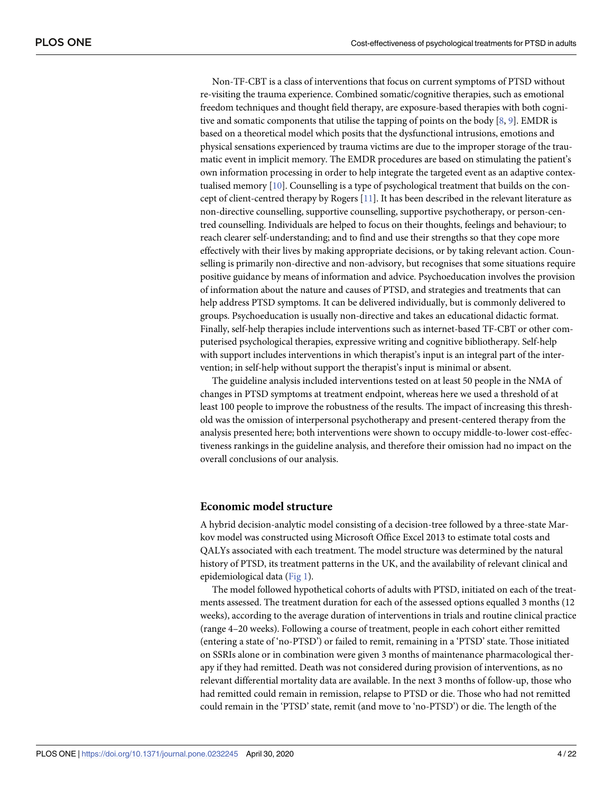<span id="page-3-0"></span>Non-TF-CBT is a class of interventions that focus on current symptoms of PTSD without re-visiting the trauma experience. Combined somatic/cognitive therapies, such as emotional freedom techniques and thought field therapy, are exposure-based therapies with both cognitive and somatic components that utilise the tapping of points on the body [[8](#page-19-0), [9\]](#page-19-0). EMDR is based on a theoretical model which posits that the dysfunctional intrusions, emotions and physical sensations experienced by trauma victims are due to the improper storage of the traumatic event in implicit memory. The EMDR procedures are based on stimulating the patient's own information processing in order to help integrate the targeted event as an adaptive contextualised memory [\[10\]](#page-19-0). Counselling is a type of psychological treatment that builds on the concept of client-centred therapy by Rogers [\[11\]](#page-19-0). It has been described in the relevant literature as non-directive counselling, supportive counselling, supportive psychotherapy, or person-centred counselling. Individuals are helped to focus on their thoughts, feelings and behaviour; to reach clearer self-understanding; and to find and use their strengths so that they cope more effectively with their lives by making appropriate decisions, or by taking relevant action. Counselling is primarily non-directive and non-advisory, but recognises that some situations require positive guidance by means of information and advice. Psychoeducation involves the provision of information about the nature and causes of PTSD, and strategies and treatments that can help address PTSD symptoms. It can be delivered individually, but is commonly delivered to groups. Psychoeducation is usually non-directive and takes an educational didactic format. Finally, self-help therapies include interventions such as internet-based TF-CBT or other computerised psychological therapies, expressive writing and cognitive bibliotherapy. Self-help with support includes interventions in which therapist's input is an integral part of the intervention; in self-help without support the therapist's input is minimal or absent.

The guideline analysis included interventions tested on at least 50 people in the NMA of changes in PTSD symptoms at treatment endpoint, whereas here we used a threshold of at least 100 people to improve the robustness of the results. The impact of increasing this threshold was the omission of interpersonal psychotherapy and present-centered therapy from the analysis presented here; both interventions were shown to occupy middle-to-lower cost-effectiveness rankings in the guideline analysis, and therefore their omission had no impact on the overall conclusions of our analysis.

#### **Economic model structure**

A hybrid decision-analytic model consisting of a decision-tree followed by a three-state Markov model was constructed using Microsoft Office Excel 2013 to estimate total costs and QALYs associated with each treatment. The model structure was determined by the natural history of PTSD, its treatment patterns in the UK, and the availability of relevant clinical and epidemiological data [\(Fig](#page-4-0) 1).

The model followed hypothetical cohorts of adults with PTSD, initiated on each of the treatments assessed. The treatment duration for each of the assessed options equalled 3 months (12 weeks), according to the average duration of interventions in trials and routine clinical practice (range 4–20 weeks). Following a course of treatment, people in each cohort either remitted (entering a state of 'no-PTSD') or failed to remit, remaining in a 'PTSD' state. Those initiated on SSRIs alone or in combination were given 3 months of maintenance pharmacological therapy if they had remitted. Death was not considered during provision of interventions, as no relevant differential mortality data are available. In the next 3 months of follow-up, those who had remitted could remain in remission, relapse to PTSD or die. Those who had not remitted could remain in the 'PTSD' state, remit (and move to 'no-PTSD') or die. The length of the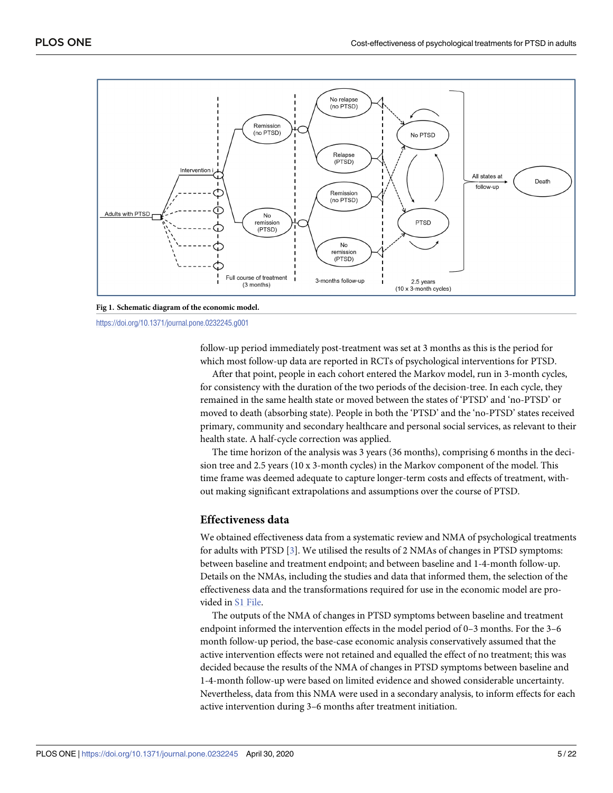<span id="page-4-0"></span>

**[Fig](#page-3-0) 1. Schematic diagram of the economic model.**

<https://doi.org/10.1371/journal.pone.0232245.g001>

follow-up period immediately post-treatment was set at 3 months as this is the period for which most follow-up data are reported in RCTs of psychological interventions for PTSD.

After that point, people in each cohort entered the Markov model, run in 3-month cycles, for consistency with the duration of the two periods of the decision-tree. In each cycle, they remained in the same health state or moved between the states of 'PTSD' and 'no-PTSD' or moved to death (absorbing state). People in both the 'PTSD' and the 'no-PTSD' states received primary, community and secondary healthcare and personal social services, as relevant to their health state. A half-cycle correction was applied.

The time horizon of the analysis was 3 years (36 months), comprising 6 months in the decision tree and 2.5 years (10 x 3-month cycles) in the Markov component of the model. This time frame was deemed adequate to capture longer-term costs and effects of treatment, without making significant extrapolations and assumptions over the course of PTSD.

### **Effectiveness data**

We obtained effectiveness data from a systematic review and NMA of psychological treatments for adults with PTSD [\[3](#page-19-0)]. We utilised the results of 2 NMAs of changes in PTSD symptoms: between baseline and treatment endpoint; and between baseline and 1-4-month follow-up. Details on the NMAs, including the studies and data that informed them, the selection of the effectiveness data and the transformations required for use in the economic model are provided in S1 [File.](#page-17-0)

The outputs of the NMA of changes in PTSD symptoms between baseline and treatment endpoint informed the intervention effects in the model period of 0–3 months. For the 3–6 month follow-up period, the base-case economic analysis conservatively assumed that the active intervention effects were not retained and equalled the effect of no treatment; this was decided because the results of the NMA of changes in PTSD symptoms between baseline and 1-4-month follow-up were based on limited evidence and showed considerable uncertainty. Nevertheless, data from this NMA were used in a secondary analysis, to inform effects for each active intervention during 3–6 months after treatment initiation.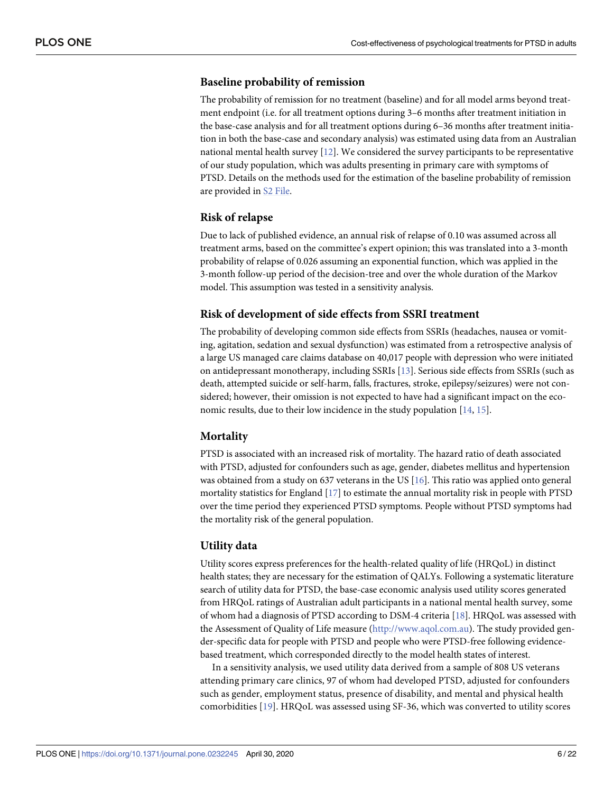### <span id="page-5-0"></span>**Baseline probability of remission**

The probability of remission for no treatment (baseline) and for all model arms beyond treatment endpoint (i.e. for all treatment options during 3–6 months after treatment initiation in the base-case analysis and for all treatment options during 6–36 months after treatment initiation in both the base-case and secondary analysis) was estimated using data from an Australian national mental health survey [\[12\]](#page-19-0). We considered the survey participants to be representative of our study population, which was adults presenting in primary care with symptoms of PTSD. Details on the methods used for the estimation of the baseline probability of remission are provided in S2 [File](#page-17-0).

### **Risk of relapse**

Due to lack of published evidence, an annual risk of relapse of 0.10 was assumed across all treatment arms, based on the committee's expert opinion; this was translated into a 3-month probability of relapse of 0.026 assuming an exponential function, which was applied in the 3-month follow-up period of the decision-tree and over the whole duration of the Markov model. This assumption was tested in a sensitivity analysis.

#### **Risk of development of side effects from SSRI treatment**

The probability of developing common side effects from SSRIs (headaches, nausea or vomiting, agitation, sedation and sexual dysfunction) was estimated from a retrospective analysis of a large US managed care claims database on 40,017 people with depression who were initiated on antidepressant monotherapy, including SSRIs [\[13\]](#page-20-0). Serious side effects from SSRIs (such as death, attempted suicide or self-harm, falls, fractures, stroke, epilepsy/seizures) were not considered; however, their omission is not expected to have had a significant impact on the economic results, due to their low incidence in the study population [\[14,](#page-20-0) [15\]](#page-20-0).

### **Mortality**

PTSD is associated with an increased risk of mortality. The hazard ratio of death associated with PTSD, adjusted for confounders such as age, gender, diabetes mellitus and hypertension was obtained from a study on 637 veterans in the US [\[16\]](#page-20-0). This ratio was applied onto general mortality statistics for England [[17](#page-20-0)] to estimate the annual mortality risk in people with PTSD over the time period they experienced PTSD symptoms. People without PTSD symptoms had the mortality risk of the general population.

#### **Utility data**

Utility scores express preferences for the health-related quality of life (HRQoL) in distinct health states; they are necessary for the estimation of QALYs. Following a systematic literature search of utility data for PTSD, the base-case economic analysis used utility scores generated from HRQoL ratings of Australian adult participants in a national mental health survey, some of whom had a diagnosis of PTSD according to DSM-4 criteria [[18](#page-20-0)]. HRQoL was assessed with the Assessment of Quality of Life measure [\(http://www.aqol.com.au\)](http://www.aqol.com.au). The study provided gender-specific data for people with PTSD and people who were PTSD-free following evidencebased treatment, which corresponded directly to the model health states of interest.

In a sensitivity analysis, we used utility data derived from a sample of 808 US veterans attending primary care clinics, 97 of whom had developed PTSD, adjusted for confounders such as gender, employment status, presence of disability, and mental and physical health comorbidities [[19](#page-20-0)]. HRQoL was assessed using SF-36, which was converted to utility scores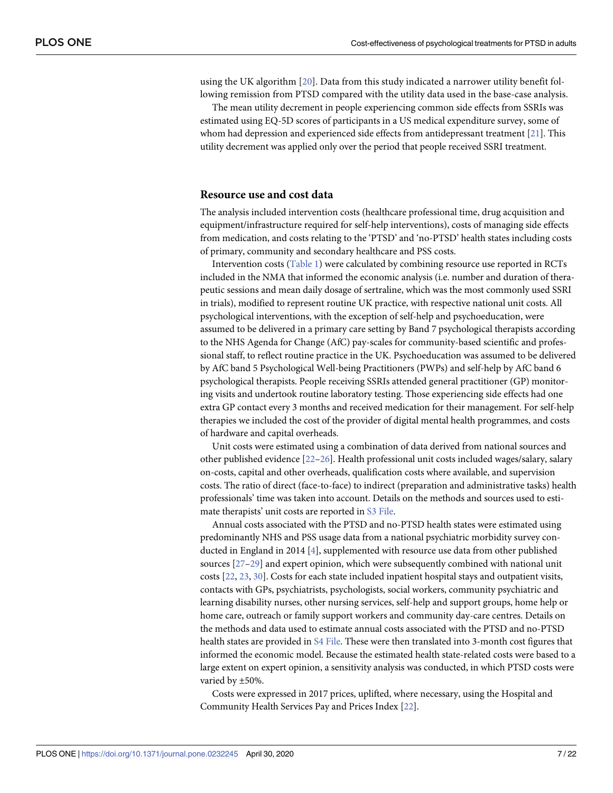<span id="page-6-0"></span>using the UK algorithm [[20\]](#page-20-0). Data from this study indicated a narrower utility benefit following remission from PTSD compared with the utility data used in the base-case analysis.

The mean utility decrement in people experiencing common side effects from SSRIs was estimated using EQ-5D scores of participants in a US medical expenditure survey, some of whom had depression and experienced side effects from antidepressant treatment [\[21\]](#page-20-0). This utility decrement was applied only over the period that people received SSRI treatment.

#### **Resource use and cost data**

The analysis included intervention costs (healthcare professional time, drug acquisition and equipment/infrastructure required for self-help interventions), costs of managing side effects from medication, and costs relating to the 'PTSD' and 'no-PTSD' health states including costs of primary, community and secondary healthcare and PSS costs.

Intervention costs ([Table](#page-7-0) 1) were calculated by combining resource use reported in RCTs included in the NMA that informed the economic analysis (i.e. number and duration of therapeutic sessions and mean daily dosage of sertraline, which was the most commonly used SSRI in trials), modified to represent routine UK practice, with respective national unit costs. All psychological interventions, with the exception of self-help and psychoeducation, were assumed to be delivered in a primary care setting by Band 7 psychological therapists according to the NHS Agenda for Change (AfC) pay-scales for community-based scientific and professional staff, to reflect routine practice in the UK. Psychoeducation was assumed to be delivered by AfC band 5 Psychological Well-being Practitioners (PWPs) and self-help by AfC band 6 psychological therapists. People receiving SSRIs attended general practitioner (GP) monitoring visits and undertook routine laboratory testing. Those experiencing side effects had one extra GP contact every 3 months and received medication for their management. For self-help therapies we included the cost of the provider of digital mental health programmes, and costs of hardware and capital overheads.

Unit costs were estimated using a combination of data derived from national sources and other published evidence [\[22–26](#page-20-0)]. Health professional unit costs included wages/salary, salary on-costs, capital and other overheads, qualification costs where available, and supervision costs. The ratio of direct (face-to-face) to indirect (preparation and administrative tasks) health professionals' time was taken into account. Details on the methods and sources used to estimate therapists' unit costs are reported in S3 [File.](#page-17-0)

Annual costs associated with the PTSD and no-PTSD health states were estimated using predominantly NHS and PSS usage data from a national psychiatric morbidity survey conducted in England in 2014 [\[4](#page-19-0)], supplemented with resource use data from other published sources [\[27–29\]](#page-20-0) and expert opinion, which were subsequently combined with national unit costs [\[22,](#page-20-0) [23,](#page-20-0) [30\]](#page-20-0). Costs for each state included inpatient hospital stays and outpatient visits, contacts with GPs, psychiatrists, psychologists, social workers, community psychiatric and learning disability nurses, other nursing services, self-help and support groups, home help or home care, outreach or family support workers and community day-care centres. Details on the methods and data used to estimate annual costs associated with the PTSD and no-PTSD health states are provided in S4 [File](#page-17-0). These were then translated into 3-month cost figures that informed the economic model. Because the estimated health state-related costs were based to a large extent on expert opinion, a sensitivity analysis was conducted, in which PTSD costs were varied by ±50%.

Costs were expressed in 2017 prices, uplifted, where necessary, using the Hospital and Community Health Services Pay and Prices Index [[22](#page-20-0)].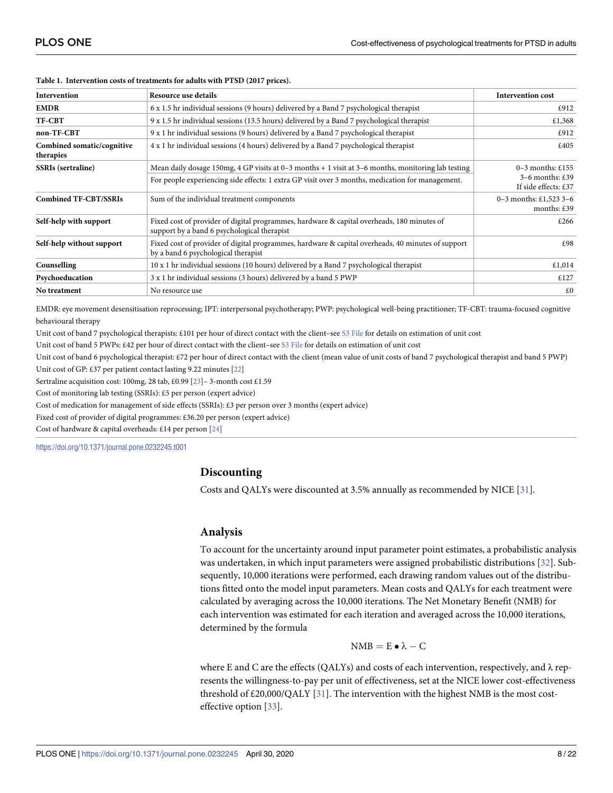| Intervention                            | Resource use details                                                                                                                      |                                           |  |
|-----------------------------------------|-------------------------------------------------------------------------------------------------------------------------------------------|-------------------------------------------|--|
| <b>EMDR</b>                             | 6 x 1.5 hr individual sessions (9 hours) delivered by a Band 7 psychological therapist                                                    | £912                                      |  |
| TF-CBT                                  | 9 x 1.5 hr individual sessions (13.5 hours) delivered by a Band 7 psychological therapist                                                 | £1,368                                    |  |
| non-TF-CBT                              | 9 x 1 hr individual sessions (9 hours) delivered by a Band 7 psychological therapist                                                      | £912                                      |  |
| Combined somatic/cognitive<br>therapies | 4 x 1 hr individual sessions (4 hours) delivered by a Band 7 psychological therapist                                                      | £405                                      |  |
| <b>SSRIs</b> (sertraline)               | Mean daily dosage 150mg, 4 GP visits at $0-3$ months + 1 visit at $3-6$ months, monitoring lab testing                                    | $0-3$ months: £155                        |  |
|                                         | For people experiencing side effects: 1 extra GP visit over 3 months, medication for management.                                          | $3-6$ months: £39<br>If side effects: £37 |  |
| <b>Combined TF-CBT/SSRIs</b>            | Sum of the individual treatment components                                                                                                | 0–3 months: $£1,523$ 3–6<br>months: $£39$ |  |
| Self-help with support                  | Fixed cost of provider of digital programmes, hardware & capital overheads, 180 minutes of<br>support by a band 6 psychological therapist | £266                                      |  |
| Self-help without support               | Fixed cost of provider of digital programmes, hardware & capital overheads, 40 minutes of support<br>by a band 6 psychological therapist  |                                           |  |
| Counselling                             | 10 x 1 hr individual sessions (10 hours) delivered by a Band 7 psychological therapist                                                    | £1,014                                    |  |
| Psychoeducation                         | 3 x 1 hr individual sessions (3 hours) delivered by a band 5 PWP                                                                          | £127                                      |  |
| No treatment                            | No resource use                                                                                                                           | £0                                        |  |

#### <span id="page-7-0"></span>**[Table](#page-6-0) 1. Intervention costs of treatments for adults with PTSD (2017 prices).**

EMDR: eye movement desensitisation reprocessing; IPT: interpersonal psychotherapy; PWP: psychological well-being practitioner; TF-CBT: trauma-focused cognitive behavioural therapy

Unit cost of band 7 psychological therapists: £101 per hour of direct contact with the client–see S3 [File](#page-17-0) for details on estimation of unit cost

Unit cost of band 5 PWPs: £42 per hour of direct contact with the client-see S3 [File](#page-17-0) for details on estimation of unit cost

Unit cost of band 6 psychological therapist: £72 per hour of direct contact with the client (mean value of unit costs of band 7 psychological therapist and band 5 PWP)

Unit cost of GP: £37 per patient contact lasting 9.22 minutes [[22](#page-20-0)]

Sertraline acquisition cost: 100mg, 28 tab, £0.99 [[23\]](#page-20-0)– 3-month cost £1.59

Cost of monitoring lab testing (SSRIs): £5 per person (expert advice)

Cost of medication for management of side effects (SSRIs): £3 per person over 3 months (expert advice)

Fixed cost of provider of digital programmes: £36.20 per person (expert advice)

Cost of hardware & capital overheads: £14 per person [[24](#page-20-0)]

<https://doi.org/10.1371/journal.pone.0232245.t001>

## **Discounting**

Costs and QALYs were discounted at 3.5% annually as recommended by NICE [\[31\]](#page-20-0).

### **Analysis**

To account for the uncertainty around input parameter point estimates, a probabilistic analysis was undertaken, in which input parameters were assigned probabilistic distributions [\[32\]](#page-20-0). Subsequently, 10,000 iterations were performed, each drawing random values out of the distributions fitted onto the model input parameters. Mean costs and QALYs for each treatment were calculated by averaging across the 10,000 iterations. The Net Monetary Benefit (NMB) for each intervention was estimated for each iteration and averaged across the 10,000 iterations, determined by the formula

$$
NMB = E \bullet \lambda - C
$$

where E and C are the effects (QALYs) and costs of each intervention, respectively, and  $\lambda$  represents the willingness-to-pay per unit of effectiveness, set at the NICE lower cost-effectiveness threshold of  $£20,000/QALY [31]$  $£20,000/QALY [31]$  $£20,000/QALY [31]$ . The intervention with the highest NMB is the most costeffective option [\[33\]](#page-20-0).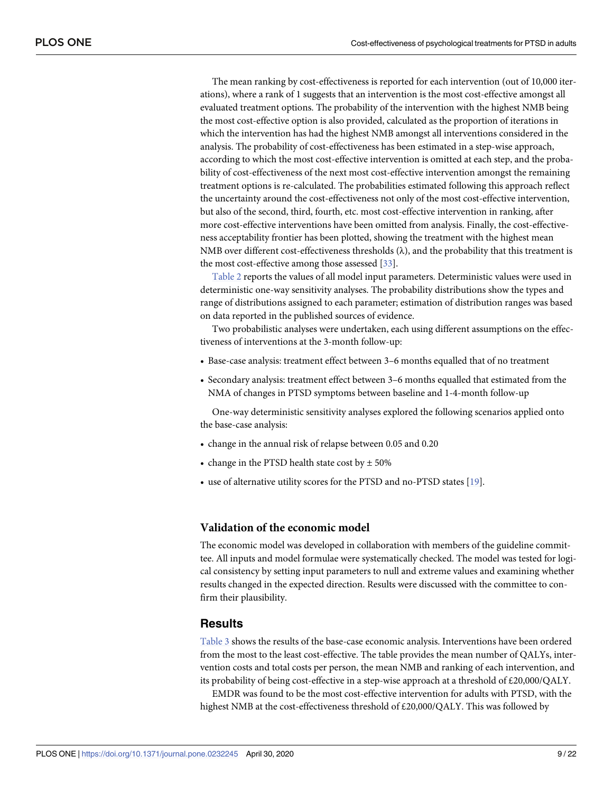<span id="page-8-0"></span>The mean ranking by cost-effectiveness is reported for each intervention (out of 10,000 iterations), where a rank of 1 suggests that an intervention is the most cost-effective amongst all evaluated treatment options. The probability of the intervention with the highest NMB being the most cost-effective option is also provided, calculated as the proportion of iterations in which the intervention has had the highest NMB amongst all interventions considered in the analysis. The probability of cost-effectiveness has been estimated in a step-wise approach, according to which the most cost-effective intervention is omitted at each step, and the probability of cost-effectiveness of the next most cost-effective intervention amongst the remaining treatment options is re-calculated. The probabilities estimated following this approach reflect the uncertainty around the cost-effectiveness not only of the most cost-effective intervention, but also of the second, third, fourth, etc. most cost-effective intervention in ranking, after more cost-effective interventions have been omitted from analysis. Finally, the cost-effectiveness acceptability frontier has been plotted, showing the treatment with the highest mean NMB over different cost-effectiveness thresholds  $(\lambda)$ , and the probability that this treatment is the most cost-effective among those assessed [[33](#page-20-0)].

[Table](#page-9-0) 2 reports the values of all model input parameters. Deterministic values were used in deterministic one-way sensitivity analyses. The probability distributions show the types and range of distributions assigned to each parameter; estimation of distribution ranges was based on data reported in the published sources of evidence.

Two probabilistic analyses were undertaken, each using different assumptions on the effectiveness of interventions at the 3-month follow-up:

- Base-case analysis: treatment effect between 3–6 months equalled that of no treatment
- Secondary analysis: treatment effect between 3–6 months equalled that estimated from the NMA of changes in PTSD symptoms between baseline and 1-4-month follow-up

One-way deterministic sensitivity analyses explored the following scenarios applied onto the base-case analysis:

- change in the annual risk of relapse between 0.05 and 0.20
- change in the PTSD health state cost by  $\pm$  50%
- use of alternative utility scores for the PTSD and no-PTSD states [\[19\]](#page-20-0).

#### **Validation of the economic model**

The economic model was developed in collaboration with members of the guideline committee. All inputs and model formulae were systematically checked. The model was tested for logical consistency by setting input parameters to null and extreme values and examining whether results changed in the expected direction. Results were discussed with the committee to confirm their plausibility.

## **Results**

[Table](#page-11-0) 3 shows the results of the base-case economic analysis. Interventions have been ordered from the most to the least cost-effective. The table provides the mean number of QALYs, intervention costs and total costs per person, the mean NMB and ranking of each intervention, and its probability of being cost-effective in a step-wise approach at a threshold of £20,000/QALY.

EMDR was found to be the most cost-effective intervention for adults with PTSD, with the highest NMB at the cost-effectiveness threshold of £20,000/QALY. This was followed by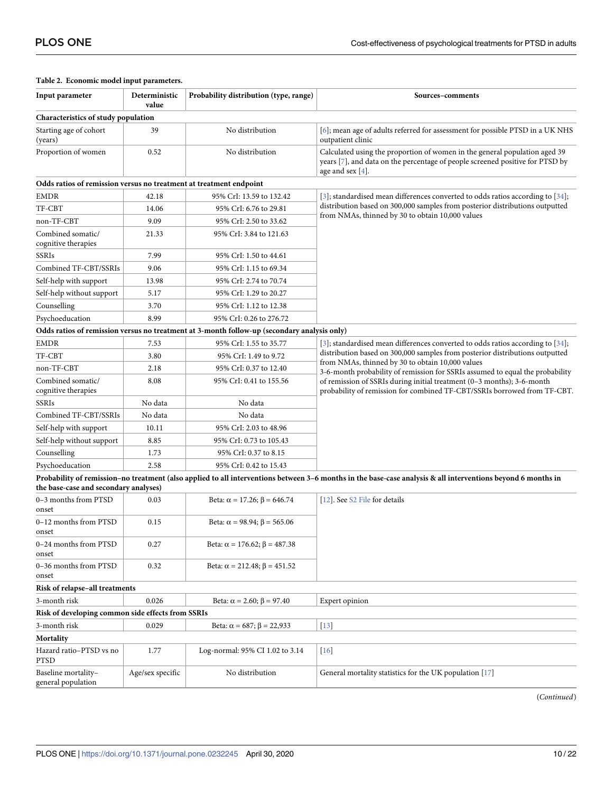| Input parameter                                                    | Probability distribution (type, range)<br>Deterministic<br>value |                                                                                             | Sources-comments                                                                                                                                                                   |  |  |
|--------------------------------------------------------------------|------------------------------------------------------------------|---------------------------------------------------------------------------------------------|------------------------------------------------------------------------------------------------------------------------------------------------------------------------------------|--|--|
| Characteristics of study population                                |                                                                  |                                                                                             |                                                                                                                                                                                    |  |  |
| Starting age of cohort<br>(years)                                  | 39                                                               | No distribution                                                                             | [6]; mean age of adults referred for assessment for possible PTSD in a UK NHS<br>outpatient clinic                                                                                 |  |  |
| Proportion of women                                                | 0.52                                                             | No distribution                                                                             | Calculated using the proportion of women in the general population aged 39<br>years [7], and data on the percentage of people screened positive for PTSD by<br>age and sex $[4]$ . |  |  |
| Odds ratios of remission versus no treatment at treatment endpoint |                                                                  |                                                                                             |                                                                                                                                                                                    |  |  |
| <b>EMDR</b>                                                        | 42.18                                                            | 95% CrI: 13.59 to 132.42                                                                    | [3]; standardised mean differences converted to odds ratios according to $[34]$ ;                                                                                                  |  |  |
| TF-CBT                                                             | 14.06                                                            | 95% CrI: 6.76 to 29.81                                                                      | distribution based on 300,000 samples from posterior distributions outputted                                                                                                       |  |  |
| non-TF-CBT                                                         | 9.09                                                             | 95% CrI: 2.50 to 33.62                                                                      | from NMAs, thinned by 30 to obtain 10,000 values                                                                                                                                   |  |  |
| Combined somatic/<br>cognitive therapies                           | 21.33                                                            | 95% CrI: 3.84 to 121.63                                                                     |                                                                                                                                                                                    |  |  |
| SSRIs                                                              | 7.99                                                             | 95% CrI: 1.50 to 44.61                                                                      |                                                                                                                                                                                    |  |  |
| Combined TF-CBT/SSRIs                                              | 9.06                                                             | 95% CrI: 1.15 to 69.34                                                                      |                                                                                                                                                                                    |  |  |
| Self-help with support                                             | 13.98                                                            | 95% CrI: 2.74 to 70.74                                                                      |                                                                                                                                                                                    |  |  |
| Self-help without support                                          | 5.17                                                             | 95% CrI: 1.29 to 20.27                                                                      |                                                                                                                                                                                    |  |  |
| Counselling                                                        | 3.70                                                             | 95% CrI: 1.12 to 12.38                                                                      |                                                                                                                                                                                    |  |  |
| Psychoeducation                                                    | 8.99                                                             | 95% CrI: 0.26 to 276.72                                                                     |                                                                                                                                                                                    |  |  |
|                                                                    |                                                                  | Odds ratios of remission versus no treatment at 3-month follow-up (secondary analysis only) |                                                                                                                                                                                    |  |  |
| EMDR                                                               | 7.53                                                             | 95% CrI: 1.55 to 35.77                                                                      | [ $3$ ]; standardised mean differences converted to odds ratios according to [ $34$ ];                                                                                             |  |  |
| TF-CBT                                                             | 3.80                                                             | 95% CrI: 1.49 to 9.72                                                                       | distribution based on 300,000 samples from posterior distributions outputted<br>from NMAs, thinned by 30 to obtain 10,000 values                                                   |  |  |
| non-TF-CBT                                                         | 2.18                                                             | 95% CrI: 0.37 to 12.40                                                                      | 3-6-month probability of remission for SSRIs assumed to equal the probability                                                                                                      |  |  |
| Combined somatic/<br>cognitive therapies                           | 8.08                                                             | 95% CrI: 0.41 to 155.56                                                                     | of remission of SSRIs during initial treatment (0-3 months); 3-6-month<br>probability of remission for combined TF-CBT/SSRIs borrowed from TF-CBT.                                 |  |  |
| SSRIs                                                              | No data                                                          | No data                                                                                     |                                                                                                                                                                                    |  |  |
| Combined TF-CBT/SSRIs                                              | No data                                                          | No data                                                                                     |                                                                                                                                                                                    |  |  |
| Self-help with support                                             | 10.11                                                            | 95% CrI: 2.03 to 48.96                                                                      |                                                                                                                                                                                    |  |  |
| Self-help without support                                          | 8.85                                                             | 95% CrI: 0.73 to 105.43                                                                     |                                                                                                                                                                                    |  |  |
| Counselling                                                        | 1.73                                                             | 95% CrI: 0.37 to 8.15                                                                       |                                                                                                                                                                                    |  |  |
| Psychoeducation                                                    | 2.58                                                             | 95% CrI: 0.42 to 15.43                                                                      |                                                                                                                                                                                    |  |  |
| the base-case and secondary analyses)                              |                                                                  |                                                                                             | Probability of remission-no treatment (also applied to all interventions between 3-6 months in the base-case analysis & all interventions beyond 6 months in                       |  |  |
| 0-3 months from PTSD<br>onset                                      | 0.03                                                             | Beta: $\alpha$ = 17.26; $\beta$ = 646.74                                                    | [12]. See S2 File for details                                                                                                                                                      |  |  |
| 0–12 months from PTSD<br>onset                                     | 0.15                                                             | Beta: $\alpha$ = 98.94; $\beta$ = 565.06                                                    |                                                                                                                                                                                    |  |  |
| 0–24 months from PTSD<br>onset                                     | 0.27                                                             | Beta: $\alpha$ = 176.62; $\beta$ = 487.38                                                   |                                                                                                                                                                                    |  |  |
| 0-36 months from PTSD<br>onset                                     | 0.32                                                             | Beta: $\alpha$ = 212.48; $\beta$ = 451.52                                                   |                                                                                                                                                                                    |  |  |
| Risk of relapse-all treatments                                     |                                                                  |                                                                                             |                                                                                                                                                                                    |  |  |
| 3-month risk                                                       | 0.026                                                            | Beta: $\alpha = 2.60; \beta = 97.40$                                                        | Expert opinion                                                                                                                                                                     |  |  |
| Risk of developing common side effects from SSRIs                  |                                                                  |                                                                                             |                                                                                                                                                                                    |  |  |
| 3-month risk                                                       | 0.029                                                            | Beta: $\alpha = 687$ ; $\beta = 22,933$                                                     | $[13]$                                                                                                                                                                             |  |  |
| Mortality                                                          |                                                                  |                                                                                             |                                                                                                                                                                                    |  |  |
| Hazard ratio–PTSD vs no<br>PTSD                                    | 1.77                                                             | Log-normal: 95% CI 1.02 to 3.14                                                             | $[16]$                                                                                                                                                                             |  |  |
| Baseline mortality-<br>general population                          | Age/sex specific                                                 | No distribution                                                                             | General mortality statistics for the UK population [17]                                                                                                                            |  |  |

#### <span id="page-9-0"></span>**[Table](#page-8-0) 2. Economic model input parameters.**

(*Continued*)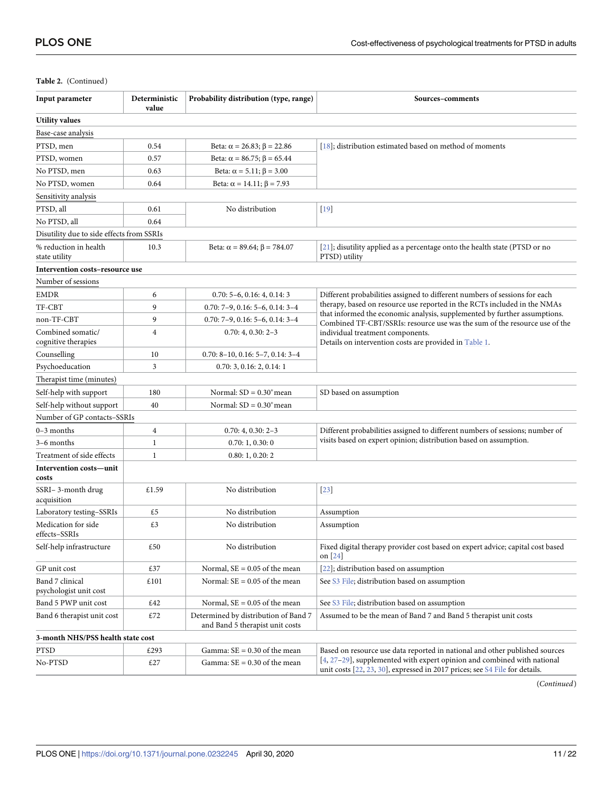## **Table 2.** (Continued)

| Input parameter                           | Deterministic<br>value | Probability distribution (type, range)                                  | Sources-comments                                                                                                                                        |  |  |
|-------------------------------------------|------------------------|-------------------------------------------------------------------------|---------------------------------------------------------------------------------------------------------------------------------------------------------|--|--|
| <b>Utility values</b>                     |                        |                                                                         |                                                                                                                                                         |  |  |
| Base-case analysis                        |                        |                                                                         |                                                                                                                                                         |  |  |
| PTSD, men                                 | 0.54                   | Beta: $\alpha = 26.83$ ; $\beta = 22.86$                                | [18]; distribution estimated based on method of moments                                                                                                 |  |  |
| PTSD, women                               | 0.57                   | Beta: $\alpha = 86.75$ ; $\beta = 65.44$                                |                                                                                                                                                         |  |  |
| No PTSD, men                              | 0.63                   | Beta: $\alpha = 5.11$ ; $\beta = 3.00$                                  |                                                                                                                                                         |  |  |
| No PTSD, women                            | 0.64                   | Beta: $\alpha$ = 14.11; $\beta$ = 7.93                                  |                                                                                                                                                         |  |  |
| Sensitivity analysis                      |                        |                                                                         |                                                                                                                                                         |  |  |
| PTSD, all                                 | 0.61                   | No distribution                                                         | $[19]$                                                                                                                                                  |  |  |
| No PTSD, all                              | 0.64                   |                                                                         |                                                                                                                                                         |  |  |
| Disutility due to side effects from SSRIs |                        |                                                                         |                                                                                                                                                         |  |  |
| % reduction in health<br>state utility    | 10.3                   | Beta: $\alpha$ = 89.64; $\beta$ = 784.07                                | $[21]$ ; disutility applied as a percentage onto the health state (PTSD or no<br>PTSD) utility                                                          |  |  |
| Intervention costs-resource use           |                        |                                                                         |                                                                                                                                                         |  |  |
| Number of sessions                        |                        |                                                                         |                                                                                                                                                         |  |  |
| <b>EMDR</b>                               | 6                      | $0.70: 5-6, 0.16: 4, 0.14: 3$                                           | Different probabilities assigned to different numbers of sessions for each                                                                              |  |  |
| TF-CBT                                    | 9                      | $0.70: 7-9, 0.16: 5-6, 0.14: 3-4$                                       | therapy, based on resource use reported in the RCTs included in the NMAs                                                                                |  |  |
| non-TF-CBT                                | 9                      | $0.70: 7-9, 0.16: 5-6, 0.14: 3-4$                                       | that informed the economic analysis, supplemented by further assumptions.<br>Combined TF-CBT/SSRIs: resource use was the sum of the resource use of the |  |  |
| Combined somatic/<br>cognitive therapies  | $\overline{4}$         | $0.70:4, 0.30:2-3$                                                      | individual treatment components.<br>Details on intervention costs are provided in Table 1.                                                              |  |  |
| Counselling                               | 10                     | $0.70: 8-10, 0.16: 5-7, 0.14: 3-4$                                      |                                                                                                                                                         |  |  |
| Psychoeducation                           | 3                      | 0.70: 3, 0.16: 2, 0.14: 1                                               |                                                                                                                                                         |  |  |
| Therapist time (minutes)                  |                        |                                                                         |                                                                                                                                                         |  |  |
| Self-help with support                    | 180                    | Normal: $SD = 0.30$ <sup>*</sup> mean                                   | SD based on assumption                                                                                                                                  |  |  |
| Self-help without support                 | 40                     | Normal: $SD = 0.30$ <sup>*</sup> mean                                   |                                                                                                                                                         |  |  |
| Number of GP contacts-SSRIs               |                        |                                                                         |                                                                                                                                                         |  |  |
| $0-3$ months                              | $\overline{4}$         | $0.70:4, 0.30:2-3$                                                      | Different probabilities assigned to different numbers of sessions; number of                                                                            |  |  |
| 3–6 months                                | $\mathbf{1}$           | 0.70:1, 0.30:0                                                          | visits based on expert opinion; distribution based on assumption.                                                                                       |  |  |
| Treatment of side effects                 | 1                      | 0.80:1, 0.20:2                                                          |                                                                                                                                                         |  |  |
| Intervention costs—unit<br>costs          |                        |                                                                         |                                                                                                                                                         |  |  |
| SSRI-3-month drug<br>acquisition          | £1.59                  | No distribution                                                         | $[23]$                                                                                                                                                  |  |  |
| Laboratory testing-SSRIs                  | £5                     | No distribution                                                         | Assumption                                                                                                                                              |  |  |
| Medication for side<br>effects-SSRIs      | £3                     | No distribution                                                         | Assumption                                                                                                                                              |  |  |
| Self-help infrastructure                  | £50                    | No distribution                                                         | Fixed digital therapy provider cost based on expert advice; capital cost based<br>on $[24]$                                                             |  |  |
| GP unit cost                              | £37                    | Normal, $SE = 0.05$ of the mean                                         | [22]; distribution based on assumption                                                                                                                  |  |  |
| Band 7 clinical<br>psychologist unit cost | £101                   | Normal: $SE = 0.05$ of the mean                                         | See S3 File; distribution based on assumption                                                                                                           |  |  |
| Band 5 PWP unit cost                      | £42                    | Normal, $SE = 0.05$ of the mean                                         | See S3 File; distribution based on assumption                                                                                                           |  |  |
| Band 6 therapist unit cost                | £72                    | Determined by distribution of Band 7<br>and Band 5 therapist unit costs | Assumed to be the mean of Band 7 and Band 5 therapist unit costs                                                                                        |  |  |
| 3-month NHS/PSS health state cost         |                        |                                                                         |                                                                                                                                                         |  |  |
| PTSD                                      | £293                   | Gamma: $SE = 0.30$ of the mean                                          | Based on resource use data reported in national and other published sources                                                                             |  |  |
| No-PTSD                                   | £27                    | Gamma: $SE = 0.30$ of the mean                                          | [4, 27-29], supplemented with expert opinion and combined with national<br>unit costs [22, 23, 30], expressed in 2017 prices; see S4 File for details.  |  |  |

(*Continued*)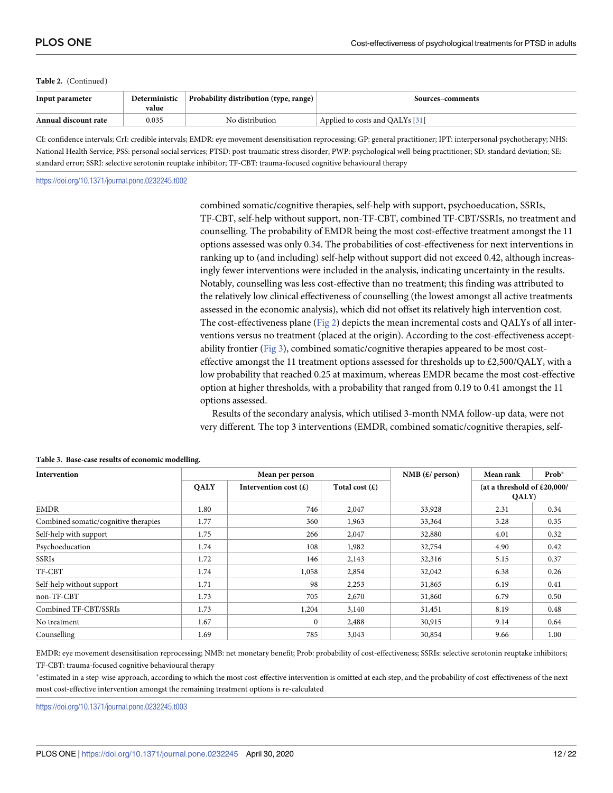#### <span id="page-11-0"></span>**Table 2.** (Continued)

| Input parameter      | Deterministic<br>value | Probability distribution (type, range) $\perp$ | Sources–comments                |
|----------------------|------------------------|------------------------------------------------|---------------------------------|
| Annual discount rate | 0.035                  | No distribution                                | Applied to costs and QALYs [31] |

CI: confidence intervals; CrI: credible intervals; EMDR: eye movement desensitisation reprocessing; GP: general practitioner; IPT: interpersonal psychotherapy; NHS: National Health Service; PSS: personal social services; PTSD: post-traumatic stress disorder; PWP: psychological well-being practitioner; SD: standard deviation; SE: standard error; SSRI: selective serotonin reuptake inhibitor; TF-CBT: trauma-focused cognitive behavioural therapy

<https://doi.org/10.1371/journal.pone.0232245.t002>

combined somatic/cognitive therapies, self-help with support, psychoeducation, SSRIs, TF-CBT, self-help without support, non-TF-CBT, combined TF-CBT/SSRIs, no treatment and counselling. The probability of EMDR being the most cost-effective treatment amongst the 11 options assessed was only 0.34. The probabilities of cost-effectiveness for next interventions in ranking up to (and including) self-help without support did not exceed 0.42, although increasingly fewer interventions were included in the analysis, indicating uncertainty in the results. Notably, counselling was less cost-effective than no treatment; this finding was attributed to the relatively low clinical effectiveness of counselling (the lowest amongst all active treatments assessed in the economic analysis), which did not offset its relatively high intervention cost. The cost-effectiveness plane [\(Fig](#page-12-0) 2) depicts the mean incremental costs and QALYs of all interventions versus no treatment (placed at the origin). According to the cost-effectiveness acceptability frontier [\(Fig](#page-12-0) 3), combined somatic/cognitive therapies appeared to be most costeffective amongst the 11 treatment options assessed for thresholds up to  $\text{\pounds}2,500/QALY$ , with a low probability that reached 0.25 at maximum, whereas EMDR became the most cost-effective option at higher thresholds, with a probability that ranged from 0.19 to 0.41 amongst the 11 options assessed.

Results of the secondary analysis, which utilised 3-month NMA follow-up data, were not very different. The top 3 interventions (EMDR, combined somatic/cognitive therapies, self-

| Intervention                         | Mean per person |                                        |                  | NMB $(E/$ person) | Mean rank                              | Prob* |
|--------------------------------------|-----------------|----------------------------------------|------------------|-------------------|----------------------------------------|-------|
|                                      | <b>QALY</b>     | Intervention cost $(\mathbf{\pounds})$ | Total cost $(E)$ |                   | (at a threshold of $£20,000/$<br>QALY) |       |
| <b>EMDR</b>                          | 1.80            | 746                                    | 2,047            | 33,928            | 2.31                                   | 0.34  |
| Combined somatic/cognitive therapies | 1.77            | 360                                    | 1,963            | 33,364            | 3.28                                   | 0.35  |
| Self-help with support               | 1.75            | 266                                    | 2,047            | 32,880            | 4.01                                   | 0.32  |
| Psychoeducation                      | 1.74            | 108                                    | 1,982            | 32,754            | 4.90                                   | 0.42  |
| <b>SSRIs</b>                         | 1.72            | 146                                    | 2,143            | 32,316            | 5.15                                   | 0.37  |
| TF-CBT                               | 1.74            | 1,058                                  | 2,854            | 32,042            | 6.38                                   | 0.26  |
| Self-help without support            | 1.71            | 98                                     | 2,253            | 31,865            | 6.19                                   | 0.41  |
| non-TF-CBT                           | 1.73            | 705                                    | 2,670            | 31,860            | 6.79                                   | 0.50  |
| Combined TF-CBT/SSRIs                | 1.73            | 1,204                                  | 3,140            | 31,451            | 8.19                                   | 0.48  |
| No treatment                         | 1.67            | $\Omega$                               | 2,488            | 30,915            | 9.14                                   | 0.64  |
| Counselling                          | 1.69            | 785                                    | 3,043            | 30,854            | 9.66                                   | 1.00  |

#### **[Table](#page-8-0) 3. Base-case results of economic modelling.**

EMDR: eye movement desensitisation reprocessing; NMB: net monetary benefit; Prob: probability of cost-effectiveness; SSRIs: selective serotonin reuptake inhibitors; TF-CBT: trauma-focused cognitive behavioural therapy

�estimated in a step-wise approach, according to which the most cost-effective intervention is omitted at each step, and the probability of cost-effectiveness of the next most cost-effective intervention amongst the remaining treatment options is re-calculated

<https://doi.org/10.1371/journal.pone.0232245.t003>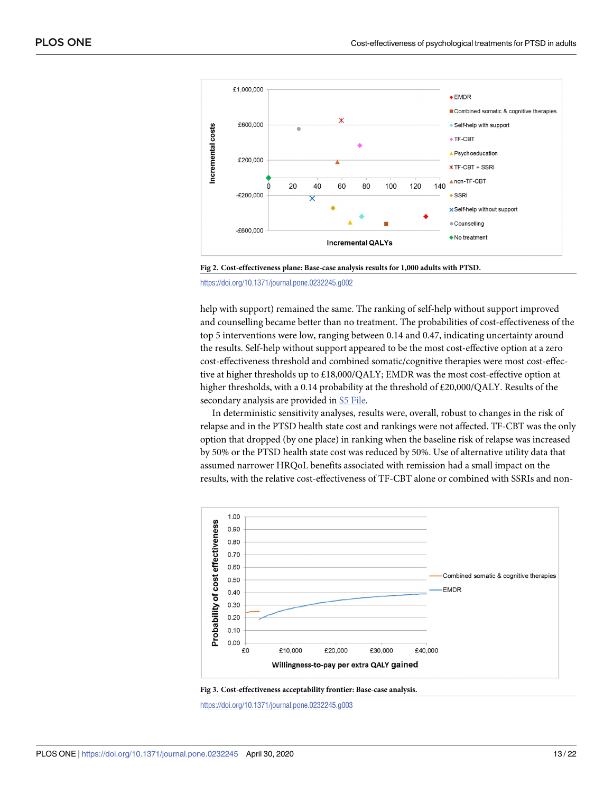<span id="page-12-0"></span>

**[Fig](#page-11-0) 2. Cost-effectiveness plane: Base-case analysis results for 1,000 adults with PTSD.**

<https://doi.org/10.1371/journal.pone.0232245.g002>

help with support) remained the same. The ranking of self-help without support improved and counselling became better than no treatment. The probabilities of cost-effectiveness of the top 5 interventions were low, ranging between 0.14 and 0.47, indicating uncertainty around the results. Self-help without support appeared to be the most cost-effective option at a zero cost-effectiveness threshold and combined somatic/cognitive therapies were most cost-effective at higher thresholds up to £18,000/QALY; EMDR was the most cost-effective option at higher thresholds, with a 0.14 probability at the threshold of  $\text{\pounds}20,000/QALY$ . Results of the secondary analysis are provided in S5 [File](#page-17-0).

In deterministic sensitivity analyses, results were, overall, robust to changes in the risk of relapse and in the PTSD health state cost and rankings were not affected. TF-CBT was the only option that dropped (by one place) in ranking when the baseline risk of relapse was increased by 50% or the PTSD health state cost was reduced by 50%. Use of alternative utility data that assumed narrower HRQoL benefits associated with remission had a small impact on the results, with the relative cost-effectiveness of TF-CBT alone or combined with SSRIs and non-





<https://doi.org/10.1371/journal.pone.0232245.g003>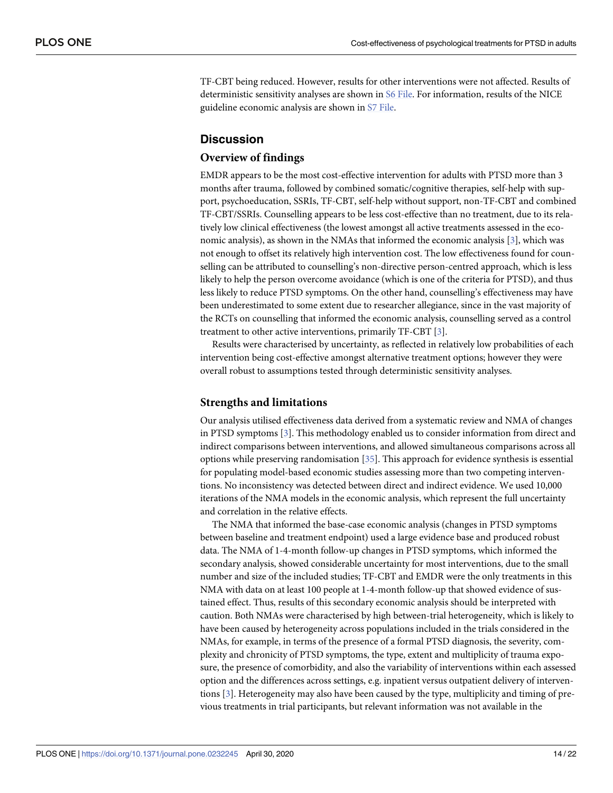<span id="page-13-0"></span>TF-CBT being reduced. However, results for other interventions were not affected. Results of deterministic sensitivity analyses are shown in S6 [File.](#page-17-0) For information, results of the NICE guideline economic analysis are shown in S7 [File.](#page-17-0)

## **Discussion**

#### **Overview of findings**

EMDR appears to be the most cost-effective intervention for adults with PTSD more than 3 months after trauma, followed by combined somatic/cognitive therapies, self-help with support, psychoeducation, SSRIs, TF-CBT, self-help without support, non-TF-CBT and combined TF-CBT/SSRIs. Counselling appears to be less cost-effective than no treatment, due to its relatively low clinical effectiveness (the lowest amongst all active treatments assessed in the economic analysis), as shown in the NMAs that informed the economic analysis [[3](#page-19-0)], which was not enough to offset its relatively high intervention cost. The low effectiveness found for counselling can be attributed to counselling's non-directive person-centred approach, which is less likely to help the person overcome avoidance (which is one of the criteria for PTSD), and thus less likely to reduce PTSD symptoms. On the other hand, counselling's effectiveness may have been underestimated to some extent due to researcher allegiance, since in the vast majority of the RCTs on counselling that informed the economic analysis, counselling served as a control treatment to other active interventions, primarily TF-CBT [[3](#page-19-0)].

Results were characterised by uncertainty, as reflected in relatively low probabilities of each intervention being cost-effective amongst alternative treatment options; however they were overall robust to assumptions tested through deterministic sensitivity analyses.

### **Strengths and limitations**

Our analysis utilised effectiveness data derived from a systematic review and NMA of changes in PTSD symptoms [\[3](#page-19-0)]. This methodology enabled us to consider information from direct and indirect comparisons between interventions, and allowed simultaneous comparisons across all options while preserving randomisation [[35](#page-21-0)]. This approach for evidence synthesis is essential for populating model-based economic studies assessing more than two competing interventions. No inconsistency was detected between direct and indirect evidence. We used 10,000 iterations of the NMA models in the economic analysis, which represent the full uncertainty and correlation in the relative effects.

The NMA that informed the base-case economic analysis (changes in PTSD symptoms between baseline and treatment endpoint) used a large evidence base and produced robust data. The NMA of 1-4-month follow-up changes in PTSD symptoms, which informed the secondary analysis, showed considerable uncertainty for most interventions, due to the small number and size of the included studies; TF-CBT and EMDR were the only treatments in this NMA with data on at least 100 people at 1-4-month follow-up that showed evidence of sustained effect. Thus, results of this secondary economic analysis should be interpreted with caution. Both NMAs were characterised by high between-trial heterogeneity, which is likely to have been caused by heterogeneity across populations included in the trials considered in the NMAs, for example, in terms of the presence of a formal PTSD diagnosis, the severity, complexity and chronicity of PTSD symptoms, the type, extent and multiplicity of trauma exposure, the presence of comorbidity, and also the variability of interventions within each assessed option and the differences across settings, e.g. inpatient versus outpatient delivery of interventions [\[3](#page-19-0)]. Heterogeneity may also have been caused by the type, multiplicity and timing of previous treatments in trial participants, but relevant information was not available in the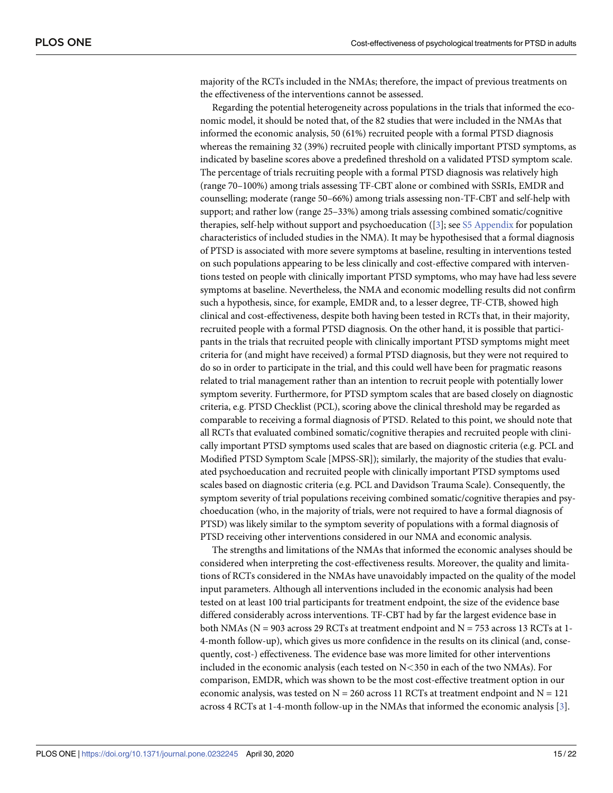majority of the RCTs included in the NMAs; therefore, the impact of previous treatments on the effectiveness of the interventions cannot be assessed.

Regarding the potential heterogeneity across populations in the trials that informed the economic model, it should be noted that, of the 82 studies that were included in the NMAs that informed the economic analysis, 50 (61%) recruited people with a formal PTSD diagnosis whereas the remaining 32 (39%) recruited people with clinically important PTSD symptoms, as indicated by baseline scores above a predefined threshold on a validated PTSD symptom scale. The percentage of trials recruiting people with a formal PTSD diagnosis was relatively high (range 70–100%) among trials assessing TF-CBT alone or combined with SSRIs, EMDR and counselling; moderate (range 50–66%) among trials assessing non-TF-CBT and self-help with support; and rather low (range 25–33%) among trials assessing combined somatic/cognitive therapies, self-help without support and psychoeducation ([\[3](#page-19-0)]; see S5 [Appendix](#page-18-0) for population characteristics of included studies in the NMA). It may be hypothesised that a formal diagnosis of PTSD is associated with more severe symptoms at baseline, resulting in interventions tested on such populations appearing to be less clinically and cost-effective compared with interventions tested on people with clinically important PTSD symptoms, who may have had less severe symptoms at baseline. Nevertheless, the NMA and economic modelling results did not confirm such a hypothesis, since, for example, EMDR and, to a lesser degree, TF-CTB, showed high clinical and cost-effectiveness, despite both having been tested in RCTs that, in their majority, recruited people with a formal PTSD diagnosis. On the other hand, it is possible that participants in the trials that recruited people with clinically important PTSD symptoms might meet criteria for (and might have received) a formal PTSD diagnosis, but they were not required to do so in order to participate in the trial, and this could well have been for pragmatic reasons related to trial management rather than an intention to recruit people with potentially lower symptom severity. Furthermore, for PTSD symptom scales that are based closely on diagnostic criteria, e.g. PTSD Checklist (PCL), scoring above the clinical threshold may be regarded as comparable to receiving a formal diagnosis of PTSD. Related to this point, we should note that all RCTs that evaluated combined somatic/cognitive therapies and recruited people with clinically important PTSD symptoms used scales that are based on diagnostic criteria (e.g. PCL and Modified PTSD Symptom Scale [MPSS-SR]); similarly, the majority of the studies that evaluated psychoeducation and recruited people with clinically important PTSD symptoms used scales based on diagnostic criteria (e.g. PCL and Davidson Trauma Scale). Consequently, the symptom severity of trial populations receiving combined somatic/cognitive therapies and psychoeducation (who, in the majority of trials, were not required to have a formal diagnosis of PTSD) was likely similar to the symptom severity of populations with a formal diagnosis of PTSD receiving other interventions considered in our NMA and economic analysis.

The strengths and limitations of the NMAs that informed the economic analyses should be considered when interpreting the cost-effectiveness results. Moreover, the quality and limitations of RCTs considered in the NMAs have unavoidably impacted on the quality of the model input parameters. Although all interventions included in the economic analysis had been tested on at least 100 trial participants for treatment endpoint, the size of the evidence base differed considerably across interventions. TF-CBT had by far the largest evidence base in both NMAs ( $N = 903$  across 29 RCTs at treatment endpoint and  $N = 753$  across 13 RCTs at 1-4-month follow-up), which gives us more confidence in the results on its clinical (and, consequently, cost-) effectiveness. The evidence base was more limited for other interventions included in the economic analysis (each tested on N*<*350 in each of the two NMAs). For comparison, EMDR, which was shown to be the most cost-effective treatment option in our economic analysis, was tested on  $N = 260$  across 11 RCTs at treatment endpoint and  $N = 121$ across 4 RCTs at 1-4-month follow-up in the NMAs that informed the economic analysis [\[3\]](#page-19-0).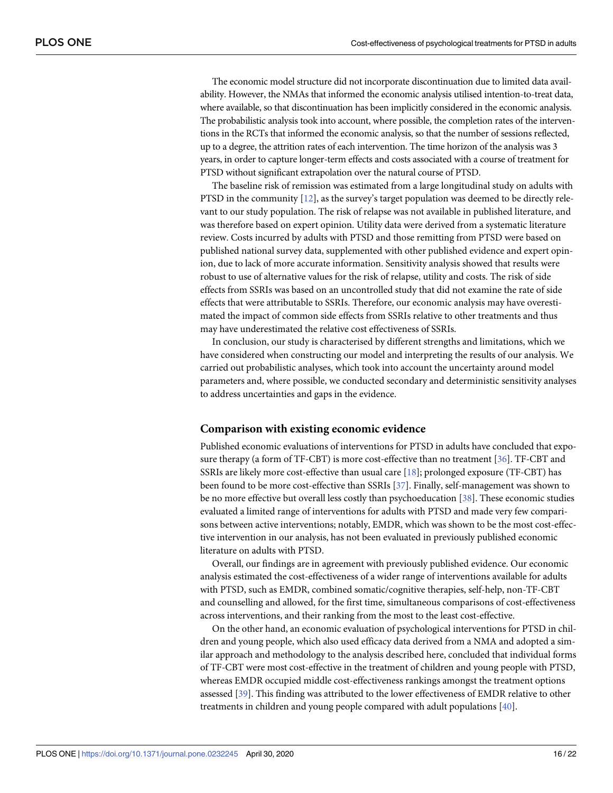<span id="page-15-0"></span>The economic model structure did not incorporate discontinuation due to limited data availability. However, the NMAs that informed the economic analysis utilised intention-to-treat data, where available, so that discontinuation has been implicitly considered in the economic analysis. The probabilistic analysis took into account, where possible, the completion rates of the interventions in the RCTs that informed the economic analysis, so that the number of sessions reflected, up to a degree, the attrition rates of each intervention. The time horizon of the analysis was 3 years, in order to capture longer-term effects and costs associated with a course of treatment for PTSD without significant extrapolation over the natural course of PTSD.

The baseline risk of remission was estimated from a large longitudinal study on adults with PTSD in the community [\[12\]](#page-19-0), as the survey's target population was deemed to be directly relevant to our study population. The risk of relapse was not available in published literature, and was therefore based on expert opinion. Utility data were derived from a systematic literature review. Costs incurred by adults with PTSD and those remitting from PTSD were based on published national survey data, supplemented with other published evidence and expert opinion, due to lack of more accurate information. Sensitivity analysis showed that results were robust to use of alternative values for the risk of relapse, utility and costs. The risk of side effects from SSRIs was based on an uncontrolled study that did not examine the rate of side effects that were attributable to SSRIs. Therefore, our economic analysis may have overestimated the impact of common side effects from SSRIs relative to other treatments and thus may have underestimated the relative cost effectiveness of SSRIs.

In conclusion, our study is characterised by different strengths and limitations, which we have considered when constructing our model and interpreting the results of our analysis. We carried out probabilistic analyses, which took into account the uncertainty around model parameters and, where possible, we conducted secondary and deterministic sensitivity analyses to address uncertainties and gaps in the evidence.

#### **Comparison with existing economic evidence**

Published economic evaluations of interventions for PTSD in adults have concluded that exposure therapy (a form of TF-CBT) is more cost-effective than no treatment [[36](#page-21-0)]. TF-CBT and SSRIs are likely more cost-effective than usual care [\[18\]](#page-20-0); prolonged exposure (TF-CBT) has been found to be more cost-effective than SSRIs [[37](#page-21-0)]. Finally, self-management was shown to be no more effective but overall less costly than psychoeducation [[38](#page-21-0)]. These economic studies evaluated a limited range of interventions for adults with PTSD and made very few comparisons between active interventions; notably, EMDR, which was shown to be the most cost-effective intervention in our analysis, has not been evaluated in previously published economic literature on adults with PTSD.

Overall, our findings are in agreement with previously published evidence. Our economic analysis estimated the cost-effectiveness of a wider range of interventions available for adults with PTSD, such as EMDR, combined somatic/cognitive therapies, self-help, non-TF-CBT and counselling and allowed, for the first time, simultaneous comparisons of cost-effectiveness across interventions, and their ranking from the most to the least cost-effective.

On the other hand, an economic evaluation of psychological interventions for PTSD in children and young people, which also used efficacy data derived from a NMA and adopted a similar approach and methodology to the analysis described here, concluded that individual forms of TF-CBT were most cost-effective in the treatment of children and young people with PTSD, whereas EMDR occupied middle cost-effectiveness rankings amongst the treatment options assessed [\[39\]](#page-21-0). This finding was attributed to the lower effectiveness of EMDR relative to other treatments in children and young people compared with adult populations [[40](#page-21-0)].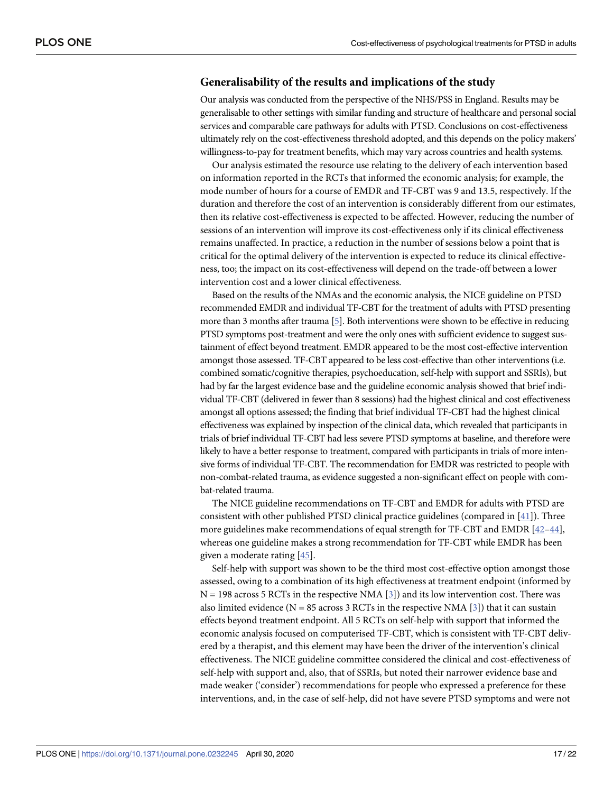## <span id="page-16-0"></span>**Generalisability of the results and implications of the study**

Our analysis was conducted from the perspective of the NHS/PSS in England. Results may be generalisable to other settings with similar funding and structure of healthcare and personal social services and comparable care pathways for adults with PTSD. Conclusions on cost-effectiveness ultimately rely on the cost-effectiveness threshold adopted, and this depends on the policy makers' willingness-to-pay for treatment benefits, which may vary across countries and health systems.

Our analysis estimated the resource use relating to the delivery of each intervention based on information reported in the RCTs that informed the economic analysis; for example, the mode number of hours for a course of EMDR and TF-CBT was 9 and 13.5, respectively. If the duration and therefore the cost of an intervention is considerably different from our estimates, then its relative cost-effectiveness is expected to be affected. However, reducing the number of sessions of an intervention will improve its cost-effectiveness only if its clinical effectiveness remains unaffected. In practice, a reduction in the number of sessions below a point that is critical for the optimal delivery of the intervention is expected to reduce its clinical effectiveness, too; the impact on its cost-effectiveness will depend on the trade-off between a lower intervention cost and a lower clinical effectiveness.

Based on the results of the NMAs and the economic analysis, the NICE guideline on PTSD recommended EMDR and individual TF-CBT for the treatment of adults with PTSD presenting more than 3 months after trauma [\[5\]](#page-19-0). Both interventions were shown to be effective in reducing PTSD symptoms post-treatment and were the only ones with sufficient evidence to suggest sustainment of effect beyond treatment. EMDR appeared to be the most cost-effective intervention amongst those assessed. TF-CBT appeared to be less cost-effective than other interventions (i.e. combined somatic/cognitive therapies, psychoeducation, self-help with support and SSRIs), but had by far the largest evidence base and the guideline economic analysis showed that brief individual TF-CBT (delivered in fewer than 8 sessions) had the highest clinical and cost effectiveness amongst all options assessed; the finding that brief individual TF-CBT had the highest clinical effectiveness was explained by inspection of the clinical data, which revealed that participants in trials of brief individual TF-CBT had less severe PTSD symptoms at baseline, and therefore were likely to have a better response to treatment, compared with participants in trials of more intensive forms of individual TF-CBT. The recommendation for EMDR was restricted to people with non-combat-related trauma, as evidence suggested a non-significant effect on people with combat-related trauma.

The NICE guideline recommendations on TF-CBT and EMDR for adults with PTSD are consistent with other published PTSD clinical practice guidelines (compared in [\[41\]](#page-21-0)). Three more guidelines make recommendations of equal strength for TF-CBT and EMDR [[42–44\]](#page-21-0), whereas one guideline makes a strong recommendation for TF-CBT while EMDR has been given a moderate rating [\[45\]](#page-21-0).

Self-help with support was shown to be the third most cost-effective option amongst those assessed, owing to a combination of its high effectiveness at treatment endpoint (informed by  $N = 198$  across 5 RCTs in the respective NMA [\[3\]](#page-19-0)) and its low intervention cost. There was also limited evidence ( $N = 85$  across 3 RCTs in the respective NMA [\[3](#page-19-0)]) that it can sustain effects beyond treatment endpoint. All 5 RCTs on self-help with support that informed the economic analysis focused on computerised TF-CBT, which is consistent with TF-CBT delivered by a therapist, and this element may have been the driver of the intervention's clinical effectiveness. The NICE guideline committee considered the clinical and cost-effectiveness of self-help with support and, also, that of SSRIs, but noted their narrower evidence base and made weaker ('consider') recommendations for people who expressed a preference for these interventions, and, in the case of self-help, did not have severe PTSD symptoms and were not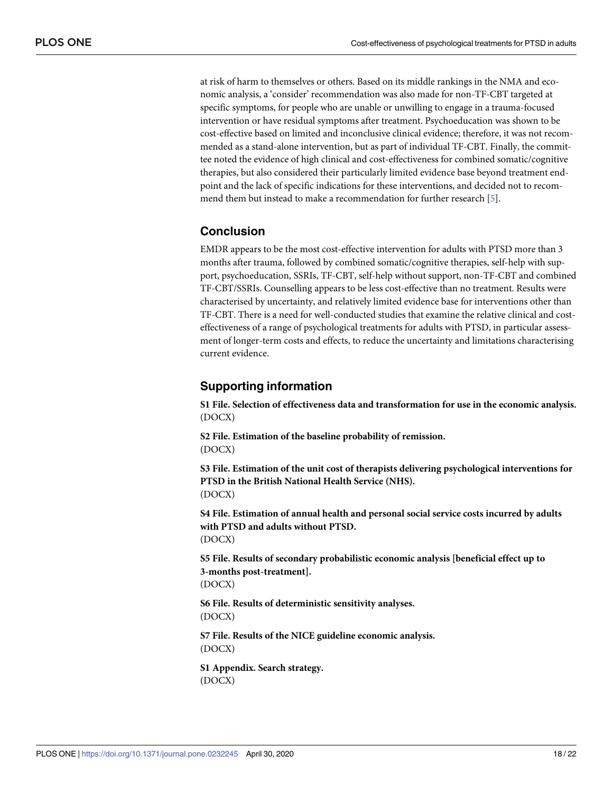<span id="page-17-0"></span>at risk of harm to themselves or others. Based on its middle rankings in the NMA and economic analysis, a 'consider' recommendation was also made for non-TF-CBT targeted at specific symptoms, for people who are unable or unwilling to engage in a trauma-focused intervention or have residual symptoms after treatment. Psychoeducation was shown to be cost-effective based on limited and inconclusive clinical evidence; therefore, it was not recommended as a stand-alone intervention, but as part of individual TF-CBT. Finally, the committee noted the evidence of high clinical and cost-effectiveness for combined somatic/cognitive therapies, but also considered their particularly limited evidence base beyond treatment endpoint and the lack of specific indications for these interventions, and decided not to recommend them but instead to make a recommendation for further research [[5\]](#page-19-0).

## **Conclusion**

EMDR appears to be the most cost-effective intervention for adults with PTSD more than 3 months after trauma, followed by combined somatic/cognitive therapies, self-help with support, psychoeducation, SSRIs, TF-CBT, self-help without support, non-TF-CBT and combined TF-CBT/SSRIs. Counselling appears to be less cost-effective than no treatment. Results were characterised by uncertainty, and relatively limited evidence base for interventions other than TF-CBT. There is a need for well-conducted studies that examine the relative clinical and costeffectiveness of a range of psychological treatments for adults with PTSD, in particular assessment of longer-term costs and effects, to reduce the uncertainty and limitations characterising current evidence.

## **Supporting information**

**S1 [File.](http://www.plosone.org/article/fetchSingleRepresentation.action?uri=info:doi/10.1371/journal.pone.0232245.s001) Selection of effectiveness data and transformation for use in the economic analysis.** (DOCX)

**S2 [File.](http://www.plosone.org/article/fetchSingleRepresentation.action?uri=info:doi/10.1371/journal.pone.0232245.s002) Estimation of the baseline probability of remission.** (DOCX)

**S3 [File.](http://www.plosone.org/article/fetchSingleRepresentation.action?uri=info:doi/10.1371/journal.pone.0232245.s003) Estimation of the unit cost of therapists delivering psychological interventions for PTSD in the British National Health Service (NHS).** (DOCX)

**S4 [File.](http://www.plosone.org/article/fetchSingleRepresentation.action?uri=info:doi/10.1371/journal.pone.0232245.s004) Estimation of annual health and personal social service costs incurred by adults with PTSD and adults without PTSD.** (DOCX)

**S5 [File.](http://www.plosone.org/article/fetchSingleRepresentation.action?uri=info:doi/10.1371/journal.pone.0232245.s005) Results of secondary probabilistic economic analysis [beneficial effect up to 3-months post-treatment].** (DOCX)

**S6 [File.](http://www.plosone.org/article/fetchSingleRepresentation.action?uri=info:doi/10.1371/journal.pone.0232245.s006) Results of deterministic sensitivity analyses.** (DOCX)

**S7 [File.](http://www.plosone.org/article/fetchSingleRepresentation.action?uri=info:doi/10.1371/journal.pone.0232245.s007) Results of the NICE guideline economic analysis.** (DOCX)

**S1 [Appendix](http://www.plosone.org/article/fetchSingleRepresentation.action?uri=info:doi/10.1371/journal.pone.0232245.s008). Search strategy.** (DOCX)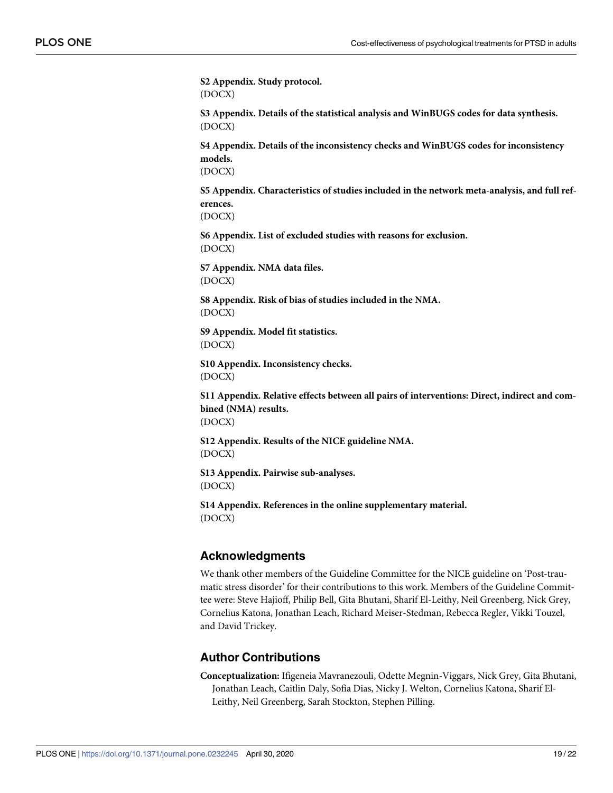<span id="page-18-0"></span>**S2 [Appendix](http://www.plosone.org/article/fetchSingleRepresentation.action?uri=info:doi/10.1371/journal.pone.0232245.s009). Study protocol.** (DOCX)

**S3 [Appendix](http://www.plosone.org/article/fetchSingleRepresentation.action?uri=info:doi/10.1371/journal.pone.0232245.s010). Details of the statistical analysis and WinBUGS codes for data synthesis.** (DOCX)

**S4 [Appendix](http://www.plosone.org/article/fetchSingleRepresentation.action?uri=info:doi/10.1371/journal.pone.0232245.s011). Details of the inconsistency checks and WinBUGS codes for inconsistency models.**

(DOCX)

**S5 [Appendix](http://www.plosone.org/article/fetchSingleRepresentation.action?uri=info:doi/10.1371/journal.pone.0232245.s012). Characteristics of studies included in the network meta-analysis, and full references.**

(DOCX)

**S6 [Appendix](http://www.plosone.org/article/fetchSingleRepresentation.action?uri=info:doi/10.1371/journal.pone.0232245.s013). List of excluded studies with reasons for exclusion.** (DOCX)

**S7 [Appendix](http://www.plosone.org/article/fetchSingleRepresentation.action?uri=info:doi/10.1371/journal.pone.0232245.s014). NMA data files.** (DOCX)

**S8 [Appendix](http://www.plosone.org/article/fetchSingleRepresentation.action?uri=info:doi/10.1371/journal.pone.0232245.s015). Risk of bias of studies included in the NMA.** (DOCX)

**S9 [Appendix](http://www.plosone.org/article/fetchSingleRepresentation.action?uri=info:doi/10.1371/journal.pone.0232245.s016). Model fit statistics.** (DOCX)

**S10 [Appendix](http://www.plosone.org/article/fetchSingleRepresentation.action?uri=info:doi/10.1371/journal.pone.0232245.s017). Inconsistency checks.** (DOCX)

**S11 [Appendix](http://www.plosone.org/article/fetchSingleRepresentation.action?uri=info:doi/10.1371/journal.pone.0232245.s018). Relative effects between all pairs of interventions: Direct, indirect and combined (NMA) results.** (DOCX)

**S12 [Appendix](http://www.plosone.org/article/fetchSingleRepresentation.action?uri=info:doi/10.1371/journal.pone.0232245.s019). Results of the NICE guideline NMA.** (DOCX)

**S13 [Appendix](http://www.plosone.org/article/fetchSingleRepresentation.action?uri=info:doi/10.1371/journal.pone.0232245.s020). Pairwise sub-analyses.** (DOCX)

**S14 [Appendix](http://www.plosone.org/article/fetchSingleRepresentation.action?uri=info:doi/10.1371/journal.pone.0232245.s021). References in the online supplementary material.** (DOCX)

## **Acknowledgments**

We thank other members of the Guideline Committee for the NICE guideline on 'Post-traumatic stress disorder' for their contributions to this work. Members of the Guideline Committee were: Steve Hajioff, Philip Bell, Gita Bhutani, Sharif El-Leithy, Neil Greenberg, Nick Grey, Cornelius Katona, Jonathan Leach, Richard Meiser-Stedman, Rebecca Regler, Vikki Touzel, and David Trickey.

## **Author Contributions**

**Conceptualization:** Ifigeneia Mavranezouli, Odette Megnin-Viggars, Nick Grey, Gita Bhutani, Jonathan Leach, Caitlin Daly, Sofia Dias, Nicky J. Welton, Cornelius Katona, Sharif El-Leithy, Neil Greenberg, Sarah Stockton, Stephen Pilling.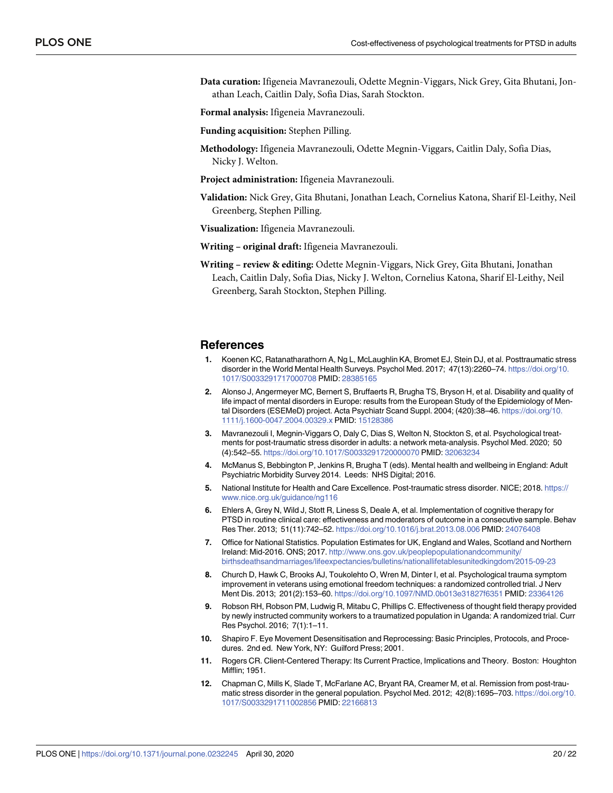<span id="page-19-0"></span>**Data curation:** Ifigeneia Mavranezouli, Odette Megnin-Viggars, Nick Grey, Gita Bhutani, Jonathan Leach, Caitlin Daly, Sofia Dias, Sarah Stockton.

**Formal analysis:** Ifigeneia Mavranezouli.

- **Funding acquisition:** Stephen Pilling.
- **Methodology:** Ifigeneia Mavranezouli, Odette Megnin-Viggars, Caitlin Daly, Sofia Dias, Nicky J. Welton.
- **Project administration:** Ifigeneia Mavranezouli.
- **Validation:** Nick Grey, Gita Bhutani, Jonathan Leach, Cornelius Katona, Sharif El-Leithy, Neil Greenberg, Stephen Pilling.

**Visualization:** Ifigeneia Mavranezouli.

- **Writing – original draft:** Ifigeneia Mavranezouli.
- **Writing – review & editing:** Odette Megnin-Viggars, Nick Grey, Gita Bhutani, Jonathan Leach, Caitlin Daly, Sofia Dias, Nicky J. Welton, Cornelius Katona, Sharif El-Leithy, Neil Greenberg, Sarah Stockton, Stephen Pilling.

#### **References**

- **[1](#page-1-0).** Koenen KC, Ratanatharathorn A, Ng L, McLaughlin KA, Bromet EJ, Stein DJ, et al. Posttraumatic stress disorder in the World Mental Health Surveys. Psychol Med. 2017; 47(13):2260–74. [https://doi.org/10.](https://doi.org/10.1017/S0033291717000708) [1017/S0033291717000708](https://doi.org/10.1017/S0033291717000708) PMID: [28385165](http://www.ncbi.nlm.nih.gov/pubmed/28385165)
- **[2](#page-1-0).** Alonso J, Angermeyer MC, Bernert S, Bruffaerts R, Brugha TS, Bryson H, et al. Disability and quality of life impact of mental disorders in Europe: results from the European Study of the Epidemiology of Mental Disorders (ESEMeD) project. Acta Psychiatr Scand Suppl. 2004; (420):38–46. [https://doi.org/10.](https://doi.org/10.1111/j.1600-0047.2004.00329.x) [1111/j.1600-0047.2004.00329.x](https://doi.org/10.1111/j.1600-0047.2004.00329.x) PMID: [15128386](http://www.ncbi.nlm.nih.gov/pubmed/15128386)
- **[3](#page-1-0).** Mavranezouli I, Megnin-Viggars O, Daly C, Dias S, Welton N, Stockton S, et al. Psychological treatments for post-traumatic stress disorder in adults: a network meta-analysis. Psychol Med. 2020; 50 (4):542–55. <https://doi.org/10.1017/S0033291720000070> PMID: [32063234](http://www.ncbi.nlm.nih.gov/pubmed/32063234)
- **[4](#page-1-0).** McManus S, Bebbington P, Jenkins R, Brugha T (eds). Mental health and wellbeing in England: Adult Psychiatric Morbidity Survey 2014. Leeds: NHS Digital; 2016.
- **[5](#page-1-0).** National Institute for Health and Care Excellence. Post-traumatic stress disorder. NICE; 2018. [https://](https://www.nice.org.uk/guidance/ng116) [www.nice.org.uk/guidance/ng116](https://www.nice.org.uk/guidance/ng116)
- **[6](#page-1-0).** Ehlers A, Grey N, Wild J, Stott R, Liness S, Deale A, et al. Implementation of cognitive therapy for PTSD in routine clinical care: effectiveness and moderators of outcome in a consecutive sample. Behav Res Ther. 2013; 51(11):742–52. <https://doi.org/10.1016/j.brat.2013.08.006> PMID: [24076408](http://www.ncbi.nlm.nih.gov/pubmed/24076408)
- **[7](#page-1-0).** Office for National Statistics. Population Estimates for UK, England and Wales, Scotland and Northern Ireland: Mid-2016. ONS; 2017. [http://www.ons.gov.uk/peoplepopulationandcommunity/](http://www.ons.gov.uk/peoplepopulationandcommunity/birthsdeathsandmarriages/lifeexpectancies/bulletins/nationallifetablesunitedkingdom/2015-09-23) [birthsdeathsandmarriages/lifeexpectancies/bulletins/nationallifetablesunitedkingdom/2015-09-23](http://www.ons.gov.uk/peoplepopulationandcommunity/birthsdeathsandmarriages/lifeexpectancies/bulletins/nationallifetablesunitedkingdom/2015-09-23)
- **[8](#page-3-0).** Church D, Hawk C, Brooks AJ, Toukolehto O, Wren M, Dinter I, et al. Psychological trauma symptom improvement in veterans using emotional freedom techniques: a randomized controlled trial. J Nerv Ment Dis. 2013; 201(2):153–60. <https://doi.org/10.1097/NMD.0b013e31827f6351> PMID: [23364126](http://www.ncbi.nlm.nih.gov/pubmed/23364126)
- **[9](#page-3-0).** Robson RH, Robson PM, Ludwig R, Mitabu C, Phillips C. Effectiveness of thought field therapy provided by newly instructed community workers to a traumatized population in Uganda: A randomized trial. Curr Res Psychol. 2016; 7(1):1–11.
- **[10](#page-3-0).** Shapiro F. Eye Movement Desensitisation and Reprocessing: Basic Principles, Protocols, and Procedures. 2nd ed. New York, NY: Guilford Press; 2001.
- **[11](#page-3-0).** Rogers CR. Client-Centered Therapy: Its Current Practice, Implications and Theory. Boston: Houghton Mifflin; 1951.
- **[12](#page-5-0).** Chapman C, Mills K, Slade T, McFarlane AC, Bryant RA, Creamer M, et al. Remission from post-traumatic stress disorder in the general population. Psychol Med. 2012; 42(8):1695–703. [https://doi.org/10.](https://doi.org/10.1017/S0033291711002856) [1017/S0033291711002856](https://doi.org/10.1017/S0033291711002856) PMID: [22166813](http://www.ncbi.nlm.nih.gov/pubmed/22166813)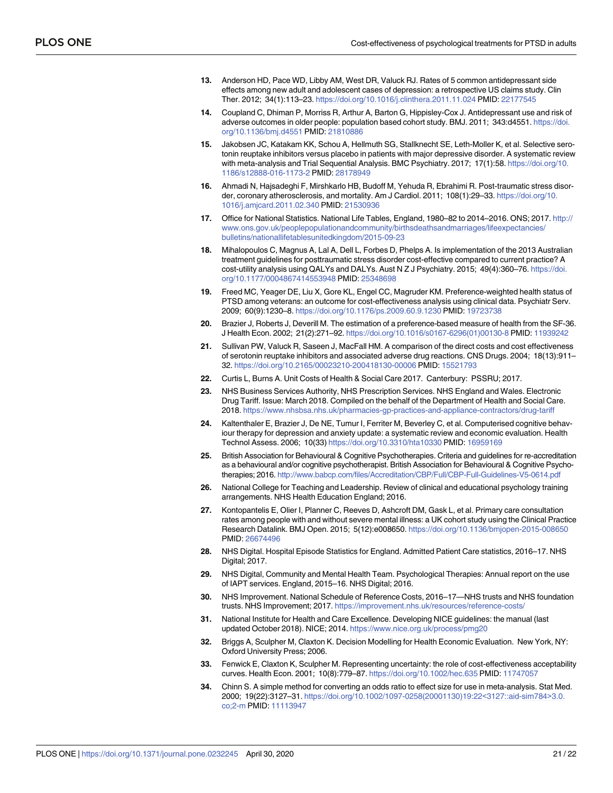- <span id="page-20-0"></span>**[13](#page-5-0).** Anderson HD, Pace WD, Libby AM, West DR, Valuck RJ. Rates of 5 common antidepressant side effects among new adult and adolescent cases of depression: a retrospective US claims study. Clin Ther. 2012; 34(1):113–23. <https://doi.org/10.1016/j.clinthera.2011.11.024> PMID: [22177545](http://www.ncbi.nlm.nih.gov/pubmed/22177545)
- **[14](#page-5-0).** Coupland C, Dhiman P, Morriss R, Arthur A, Barton G, Hippisley-Cox J. Antidepressant use and risk of adverse outcomes in older people: population based cohort study. BMJ. 2011; 343:d4551. [https://doi.](https://doi.org/10.1136/bmj.d4551) [org/10.1136/bmj.d4551](https://doi.org/10.1136/bmj.d4551) PMID: [21810886](http://www.ncbi.nlm.nih.gov/pubmed/21810886)
- **[15](#page-5-0).** Jakobsen JC, Katakam KK, Schou A, Hellmuth SG, Stallknecht SE, Leth-Moller K, et al. Selective serotonin reuptake inhibitors versus placebo in patients with major depressive disorder. A systematic review with meta-analysis and Trial Sequential Analysis. BMC Psychiatry. 2017; 17(1):58. [https://doi.org/10.](https://doi.org/10.1186/s12888-016-1173-2) [1186/s12888-016-1173-2](https://doi.org/10.1186/s12888-016-1173-2) PMID: [28178949](http://www.ncbi.nlm.nih.gov/pubmed/28178949)
- **[16](#page-5-0).** Ahmadi N, Hajsadeghi F, Mirshkarlo HB, Budoff M, Yehuda R, Ebrahimi R. Post-traumatic stress disorder, coronary atherosclerosis, and mortality. Am J Cardiol. 2011; 108(1):29–33. [https://doi.org/10.](https://doi.org/10.1016/j.amjcard.2011.02.340) [1016/j.amjcard.2011.02.340](https://doi.org/10.1016/j.amjcard.2011.02.340) PMID: [21530936](http://www.ncbi.nlm.nih.gov/pubmed/21530936)
- **[17](#page-5-0).** Office for National Statistics. National Life Tables, England, 1980–82 to 2014–2016. ONS; 2017. [http://](http://www.ons.gov.uk/peoplepopulationandcommunity/birthsdeathsandmarriages/lifeexpectancies/bulletins/nationallifetablesunitedkingdom/2015-09-23) [www.ons.gov.uk/peoplepopulationandcommunity/birthsdeathsandmarriages/lifeexpectancies/](http://www.ons.gov.uk/peoplepopulationandcommunity/birthsdeathsandmarriages/lifeexpectancies/bulletins/nationallifetablesunitedkingdom/2015-09-23) [bulletins/nationallifetablesunitedkingdom/2015-09-23](http://www.ons.gov.uk/peoplepopulationandcommunity/birthsdeathsandmarriages/lifeexpectancies/bulletins/nationallifetablesunitedkingdom/2015-09-23)
- **[18](#page-5-0).** Mihalopoulos C, Magnus A, Lal A, Dell L, Forbes D, Phelps A. Is implementation of the 2013 Australian treatment guidelines for posttraumatic stress disorder cost-effective compared to current practice? A cost-utility analysis using QALYs and DALYs. Aust N Z J Psychiatry. 2015; 49(4):360–76. [https://doi.](https://doi.org/10.1177/0004867414553948) [org/10.1177/0004867414553948](https://doi.org/10.1177/0004867414553948) PMID: [25348698](http://www.ncbi.nlm.nih.gov/pubmed/25348698)
- **[19](#page-5-0).** Freed MC, Yeager DE, Liu X, Gore KL, Engel CC, Magruder KM. Preference-weighted health status of PTSD among veterans: an outcome for cost-effectiveness analysis using clinical data. Psychiatr Serv. 2009; 60(9):1230–8. <https://doi.org/10.1176/ps.2009.60.9.1230> PMID: [19723738](http://www.ncbi.nlm.nih.gov/pubmed/19723738)
- **[20](#page-6-0).** Brazier J, Roberts J, Deverill M. The estimation of a preference-based measure of health from the SF-36. J Health Econ. 2002; 21(2):271–92. [https://doi.org/10.1016/s0167-6296\(01\)00130-8](https://doi.org/10.1016/s0167-6296(01)00130-8) PMID: [11939242](http://www.ncbi.nlm.nih.gov/pubmed/11939242)
- **[21](#page-6-0).** Sullivan PW, Valuck R, Saseen J, MacFall HM. A comparison of the direct costs and cost effectiveness of serotonin reuptake inhibitors and associated adverse drug reactions. CNS Drugs. 2004; 18(13):911– 32. <https://doi.org/10.2165/00023210-200418130-00006> PMID: [15521793](http://www.ncbi.nlm.nih.gov/pubmed/15521793)
- **[22](#page-6-0).** Curtis L, Burns A. Unit Costs of Health & Social Care 2017. Canterbury: PSSRU; 2017.
- **[23](#page-6-0).** NHS Business Services Authority, NHS Prescription Services. NHS England and Wales. Electronic Drug Tariff. Issue: March 2018. Compiled on the behalf of the Department of Health and Social Care. 2018. <https://www.nhsbsa.nhs.uk/pharmacies-gp-practices-and-appliance-contractors/drug-tariff>
- **[24](#page-7-0).** Kaltenthaler E, Brazier J, De NE, Tumur I, Ferriter M, Beverley C, et al. Computerised cognitive behaviour therapy for depression and anxiety update: a systematic review and economic evaluation. Health Technol Assess. 2006; 10(33) <https://doi.org/10.3310/hta10330> PMID: [16959169](http://www.ncbi.nlm.nih.gov/pubmed/16959169)
- **25.** British Association for Behavioural & Cognitive Psychotherapies. Criteria and guidelines for re-accreditation as a behavioural and/or cognitive psychotherapist. British Association for Behavioural & Cognitive Psychotherapies; 2016. <http://www.babcp.com/files/Accreditation/CBP/Full/CBP-Full-Guidelines-V5-0614.pdf>
- **[26](#page-6-0).** National College for Teaching and Leadership. Review of clinical and educational psychology training arrangements. NHS Health Education England; 2016.
- **[27](#page-6-0).** Kontopantelis E, Olier I, Planner C, Reeves D, Ashcroft DM, Gask L, et al. Primary care consultation rates among people with and without severe mental illness: a UK cohort study using the Clinical Practice Research Datalink. BMJ Open. 2015; 5(12):e008650. <https://doi.org/10.1136/bmjopen-2015-008650> PMID: [26674496](http://www.ncbi.nlm.nih.gov/pubmed/26674496)
- **28.** NHS Digital. Hospital Episode Statistics for England. Admitted Patient Care statistics, 2016–17. NHS Digital; 2017.
- **[29](#page-6-0).** NHS Digital, Community and Mental Health Team. Psychological Therapies: Annual report on the use of IAPT services. England, 2015–16. NHS Digital; 2016.
- **[30](#page-6-0).** NHS Improvement. National Schedule of Reference Costs, 2016–17—NHS trusts and NHS foundation trusts. NHS Improvement; 2017. <https://improvement.nhs.uk/resources/reference-costs/>
- **[31](#page-7-0).** National Institute for Health and Care Excellence. Developing NICE guidelines: the manual (last updated October 2018). NICE; 2014. <https://www.nice.org.uk/process/pmg20>
- **[32](#page-7-0).** Briggs A, Sculpher M, Claxton K. Decision Modelling for Health Economic Evaluation. New York, NY: Oxford University Press; 2006.
- **[33](#page-7-0).** Fenwick E, Claxton K, Sculpher M. Representing uncertainty: the role of cost-effectiveness acceptability curves. Health Econ. 2001; 10(8):779–87. <https://doi.org/10.1002/hec.635> PMID: [11747057](http://www.ncbi.nlm.nih.gov/pubmed/11747057)
- **[34](#page-9-0).** Chinn S. A simple method for converting an odds ratio to effect size for use in meta-analysis. Stat Med. 2000; 19(22):3127–31. [https://doi.org/10.1002/1097-0258\(20001130\)19:22](https://doi.org/10.1002/1097-0258(20001130)19:22<3127::aid-sim784>3.0.co;2-m)<3127::aid-sim784>3.0. [co;2-m](https://doi.org/10.1002/1097-0258(20001130)19:22<3127::aid-sim784>3.0.co;2-m) PMID: [11113947](http://www.ncbi.nlm.nih.gov/pubmed/11113947)